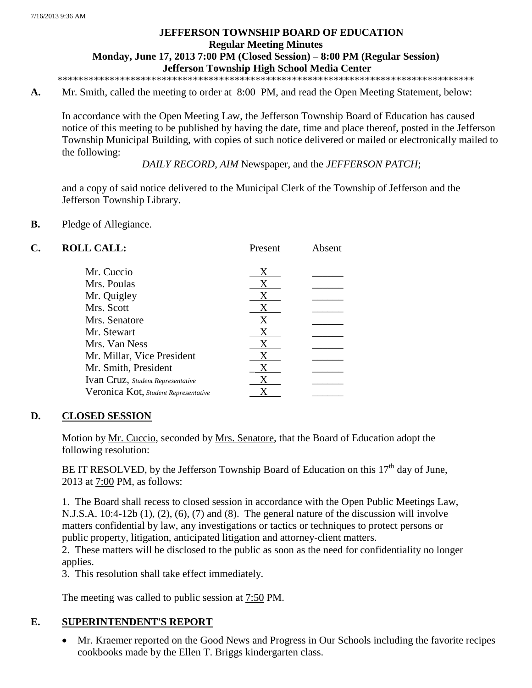# **JEFFERSON TOWNSHIP BOARD OF EDUCATION Regular Meeting Minutes Monday, June 17, 2013 7:00 PM (Closed Session) – 8:00 PM (Regular Session) Jefferson Township High School Media Center**

\*\*\*\*\*\*\*\*\*\*\*\*\*\*\*\*\*\*\*\*\*\*\*\*\*\*\*\*\*\*\*\*\*\*\*\*\*\*\*\*\*\*\*\*\*\*\*\*\*\*\*\*\*\*\*\*\*\*\*\*\*\*\*\*\*\*\*\*\*\*\*\*\*\*\*\*\*\*\*\*

**A.** Mr. Smith, called the meeting to order at 8:00 PM, and read the Open Meeting Statement, below:

In accordance with the Open Meeting Law, the Jefferson Township Board of Education has caused notice of this meeting to be published by having the date, time and place thereof, posted in the Jefferson Township Municipal Building, with copies of such notice delivered or mailed or electronically mailed to the following:

*DAILY RECORD*, *AIM* Newspaper, and the *JEFFERSON PATCH*;

and a copy of said notice delivered to the Municipal Clerk of the Township of Jefferson and the Jefferson Township Library.

### **B.** Pledge of Allegiance.

| C. | <b>ROLL CALL:</b>                    | Present | Absent |
|----|--------------------------------------|---------|--------|
|    | Mr. Cuccio                           | X       |        |
|    | Mrs. Poulas                          | X       |        |
|    | Mr. Quigley                          | X       |        |
|    | Mrs. Scott                           | X       |        |
|    | Mrs. Senatore                        | X       |        |
|    | Mr. Stewart                          | X       |        |
|    | Mrs. Van Ness                        | X       |        |
|    | Mr. Millar, Vice President           | X       |        |
|    | Mr. Smith, President                 |         |        |
|    | Ivan Cruz, Student Representative    |         |        |
|    | Veronica Kot, Student Representative |         |        |
|    |                                      |         |        |

### **D. CLOSED SESSION**

Motion by Mr. Cuccio, seconded by Mrs. Senatore, that the Board of Education adopt the following resolution:

BE IT RESOLVED, by the Jefferson Township Board of Education on this  $17<sup>th</sup>$  day of June, 2013 at 7:00 PM, as follows:

1. The Board shall recess to closed session in accordance with the Open Public Meetings Law, N.J.S.A. 10:4-12b (1), (2), (6), (7) and (8). The general nature of the discussion will involve matters confidential by law, any investigations or tactics or techniques to protect persons or public property, litigation, anticipated litigation and attorney-client matters.

 2. These matters will be disclosed to the public as soon as the need for confidentiality no longer applies.

3. This resolution shall take effect immediately.

The meeting was called to public session at 7:50 PM.

### **E. SUPERINTENDENT'S REPORT**

 Mr. Kraemer reported on the Good News and Progress in Our Schools including the favorite recipes cookbooks made by the Ellen T. Briggs kindergarten class.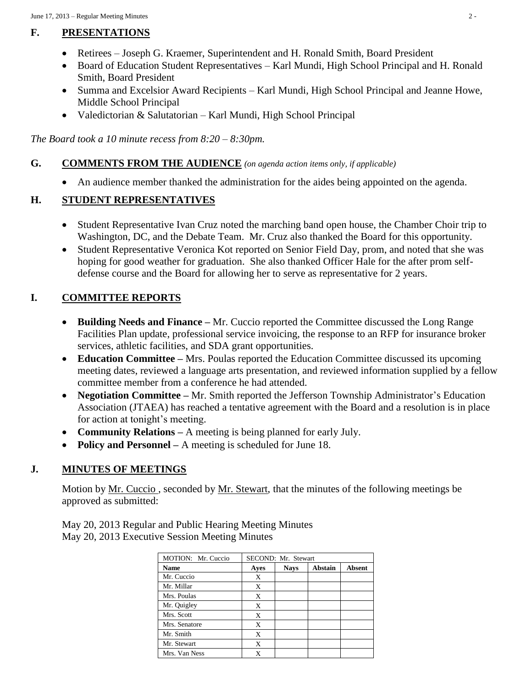# **F. PRESENTATIONS**

- Retirees Joseph G. Kraemer, Superintendent and H. Ronald Smith, Board President
- Board of Education Student Representatives Karl Mundi, High School Principal and H. Ronald Smith, Board President
- Summa and Excelsior Award Recipients Karl Mundi, High School Principal and Jeanne Howe, Middle School Principal
- Valedictorian & Salutatorian Karl Mundi, High School Principal

*The Board took a 10 minute recess from 8:20 – 8:30pm.*

# **G. COMMENTS FROM THE AUDIENCE** *(on agenda action items only, if applicable)*

An audience member thanked the administration for the aides being appointed on the agenda.

# **H. STUDENT REPRESENTATIVES**

- Student Representative Ivan Cruz noted the marching band open house, the Chamber Choir trip to Washington, DC, and the Debate Team. Mr. Cruz also thanked the Board for this opportunity.
- Student Representative Veronica Kot reported on Senior Field Day, prom, and noted that she was hoping for good weather for graduation. She also thanked Officer Hale for the after prom selfdefense course and the Board for allowing her to serve as representative for 2 years.

# **I. COMMITTEE REPORTS**

- **Building Needs and Finance –** Mr. Cuccio reported the Committee discussed the Long Range Facilities Plan update, professional service invoicing, the response to an RFP for insurance broker services, athletic facilities, and SDA grant opportunities.
- **Education Committee –** Mrs. Poulas reported the Education Committee discussed its upcoming meeting dates, reviewed a language arts presentation, and reviewed information supplied by a fellow committee member from a conference he had attended.
- **Negotiation Committee –** Mr. Smith reported the Jefferson Township Administrator's Education Association (JTAEA) has reached a tentative agreement with the Board and a resolution is in place for action at tonight's meeting.
- **Community Relations** A meeting is being planned for early July.
- **Policy and Personnel –** A meeting is scheduled for June 18.

# **J. MINUTES OF MEETINGS**

Motion by <u>Mr. Cuccio</u>, seconded by <u>Mr. Stewart</u>, that the minutes of the following meetings be approved as submitted:

May 20, 2013 Regular and Public Hearing Meeting Minutes May 20, 2013 Executive Session Meeting Minutes

| MOTION: Mr. Cuccio |      | SECOND: Mr. Stewart |                |               |
|--------------------|------|---------------------|----------------|---------------|
| <b>Name</b>        | Ayes | <b>Nays</b>         | <b>Abstain</b> | <b>Absent</b> |
| Mr. Cuccio         | X    |                     |                |               |
| Mr. Millar         | X    |                     |                |               |
| Mrs. Poulas        | X    |                     |                |               |
| Mr. Quigley        | X    |                     |                |               |
| Mrs. Scott         | X    |                     |                |               |
| Mrs. Senatore      | X    |                     |                |               |
| Mr. Smith          | X    |                     |                |               |
| Mr. Stewart        | X    |                     |                |               |
| Mrs. Van Ness      | X    |                     |                |               |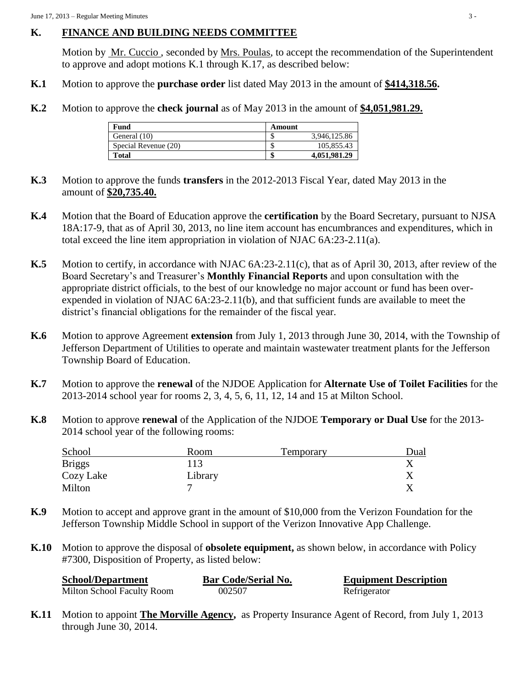## **K. FINANCE AND BUILDING NEEDS COMMITTEE**

Motion by Mr. Cuccio , seconded by Mrs. Poulas, to accept the recommendation of the Superintendent to approve and adopt motions K.1 through K.17, as described below:

- **K.1** Motion to approve the **purchase order** list dated May 2013 in the amount of **\$414,318.56.**
- **K.2** Motion to approve the **check journal** as of May 2013 in the amount of **\$4,051,981.29.**

| Fund                 | Amount |              |
|----------------------|--------|--------------|
| General (10)         | ۰D     | 3.946.125.86 |
| Special Revenue (20) | ◡      | 105,855.43   |
| <b>Total</b>         | мΠ     | 4,051,981.29 |

- **K.3** Motion to approve the funds **transfers** in the 2012-2013 Fiscal Year, dated May 2013 in the amount of **\$20,735.40.**
- **K.4** Motion that the Board of Education approve the **certification** by the Board Secretary, pursuant to NJSA 18A:17-9, that as of April 30, 2013, no line item account has encumbrances and expenditures, which in total exceed the line item appropriation in violation of NJAC 6A:23-2.11(a).
- **K.5** Motion to certify, in accordance with NJAC 6A:23-2.11(c), that as of April 30, 2013, after review of the Board Secretary's and Treasurer's **Monthly Financial Reports** and upon consultation with the appropriate district officials, to the best of our knowledge no major account or fund has been overexpended in violation of NJAC 6A:23-2.11(b), and that sufficient funds are available to meet the district's financial obligations for the remainder of the fiscal year.
- **K.6** Motion to approve Agreement **extension** from July 1, 2013 through June 30, 2014, with the Township of Jefferson Department of Utilities to operate and maintain wastewater treatment plants for the Jefferson Township Board of Education.
- **K.7** Motion to approve the **renewal** of the NJDOE Application for **Alternate Use of Toilet Facilities** for the 2013-2014 school year for rooms 2, 3, 4, 5, 6, 11, 12, 14 and 15 at Milton School.
- **K.8** Motion to approve **renewal** of the Application of the NJDOE **Temporary or Dual Use** for the 2013- 2014 school year of the following rooms:

| School        | Room    | Temporary | Dual |
|---------------|---------|-----------|------|
| <b>Briggs</b> | 113     |           |      |
| Cozy Lake     | Library |           |      |
| Milton        |         |           |      |

- **K.9** Motion to accept and approve grant in the amount of \$10,000 from the Verizon Foundation for the Jefferson Township Middle School in support of the Verizon Innovative App Challenge.
- **K.10** Motion to approve the disposal of **obsolete equipment,** as shown below, in accordance with Policy #7300, Disposition of Property, as listed below:

| <b>School/Department</b>   | <b>Bar Code/Serial No.</b> | <b>Equipment Description</b> |
|----------------------------|----------------------------|------------------------------|
| Milton School Faculty Room | 002507                     | Refrigerator                 |

**K.11** Motion to appoint **The Morville Agency,** as Property Insurance Agent of Record, from July 1, 2013 through June 30, 2014.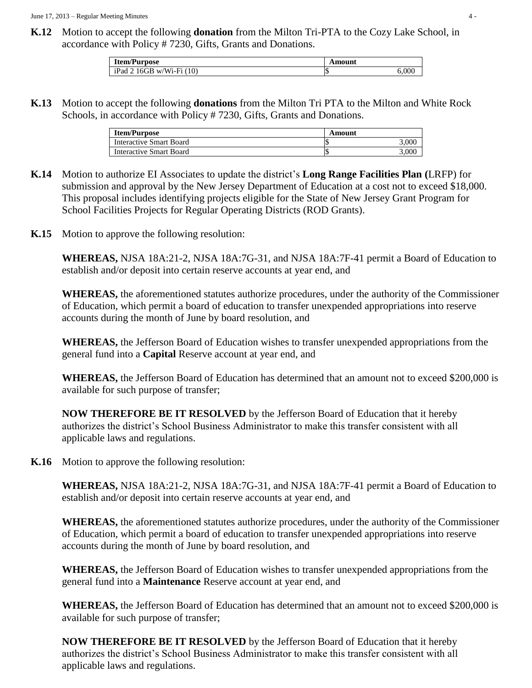**K.12** Motion to accept the following **donation** from the Milton Tri-PTA to the Cozy Lake School, in accordance with Policy # 7230, Gifts, Grants and Donations.

| <b>Item/Purpose</b>          | Amount |     |
|------------------------------|--------|-----|
| $iPad$ 2 16GB w/Wi-Fi $(10)$ | IJ     | 000 |

**K.13** Motion to accept the following **donations** from the Milton Tri PTA to the Milton and White Rock Schools, in accordance with Policy # 7230, Gifts, Grants and Donations.

| <b>Item/Purpose</b>            | Amount |       |
|--------------------------------|--------|-------|
| Interactive Smart Board        |        | .000  |
| <b>Interactive Smart Board</b> |        | 0.005 |

- **K.14** Motion to authorize EI Associates to update the district's **Long Range Facilities Plan (**LRFP) for submission and approval by the New Jersey Department of Education at a cost not to exceed \$18,000. This proposal includes identifying projects eligible for the State of New Jersey Grant Program for School Facilities Projects for Regular Operating Districts (ROD Grants).
- **K.15** Motion to approve the following resolution:

**WHEREAS,** NJSA 18A:21-2, NJSA 18A:7G-31, and NJSA 18A:7F-41 permit a Board of Education to establish and/or deposit into certain reserve accounts at year end, and

**WHEREAS,** the aforementioned statutes authorize procedures, under the authority of the Commissioner of Education, which permit a board of education to transfer unexpended appropriations into reserve accounts during the month of June by board resolution, and

**WHEREAS,** the Jefferson Board of Education wishes to transfer unexpended appropriations from the general fund into a **Capital** Reserve account at year end, and

**WHEREAS,** the Jefferson Board of Education has determined that an amount not to exceed \$200,000 is available for such purpose of transfer;

**NOW THEREFORE BE IT RESOLVED** by the Jefferson Board of Education that it hereby authorizes the district's School Business Administrator to make this transfer consistent with all applicable laws and regulations.

**K.16** Motion to approve the following resolution:

**WHEREAS,** NJSA 18A:21-2, NJSA 18A:7G-31, and NJSA 18A:7F-41 permit a Board of Education to establish and/or deposit into certain reserve accounts at year end, and

**WHEREAS,** the aforementioned statutes authorize procedures, under the authority of the Commissioner of Education, which permit a board of education to transfer unexpended appropriations into reserve accounts during the month of June by board resolution, and

**WHEREAS,** the Jefferson Board of Education wishes to transfer unexpended appropriations from the general fund into a **Maintenance** Reserve account at year end, and

**WHEREAS,** the Jefferson Board of Education has determined that an amount not to exceed \$200,000 is available for such purpose of transfer;

**NOW THEREFORE BE IT RESOLVED** by the Jefferson Board of Education that it hereby authorizes the district's School Business Administrator to make this transfer consistent with all applicable laws and regulations.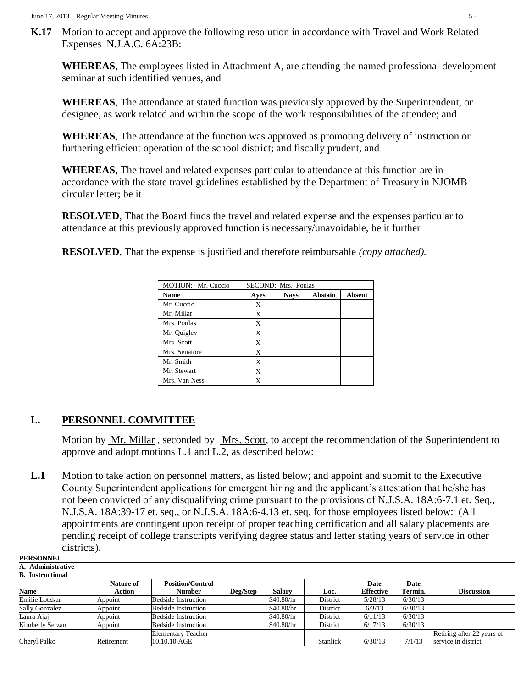**K.17** Motion to accept and approve the following resolution in accordance with Travel and Work Related Expenses N.J.A.C. 6A:23B:

**WHEREAS**, The employees listed in Attachment A, are attending the named professional development seminar at such identified venues, and

**WHEREAS**, The attendance at stated function was previously approved by the Superintendent, or designee, as work related and within the scope of the work responsibilities of the attendee; and

**WHEREAS**, The attendance at the function was approved as promoting delivery of instruction or furthering efficient operation of the school district; and fiscally prudent, and

**WHEREAS**, The travel and related expenses particular to attendance at this function are in accordance with the state travel guidelines established by the Department of Treasury in NJOMB circular letter; be it

**RESOLVED**, That the Board finds the travel and related expense and the expenses particular to attendance at this previously approved function is necessary/unavoidable, be it further

**RESOLVED**, That the expense is justified and therefore reimbursable *(copy attached).*

| MOTION: Mr. Cuccio |      | SECOND: Mrs. Poulas |                |               |
|--------------------|------|---------------------|----------------|---------------|
| <b>Name</b>        | Ayes | <b>Nays</b>         | <b>Abstain</b> | <b>Absent</b> |
| Mr. Cuccio         | X    |                     |                |               |
| Mr. Millar         | X    |                     |                |               |
| Mrs. Poulas        | X    |                     |                |               |
| Mr. Quigley        | X    |                     |                |               |
| Mrs. Scott         | X    |                     |                |               |
| Mrs. Senatore      | X    |                     |                |               |
| Mr. Smith          | X    |                     |                |               |
| Mr. Stewart        | X    |                     |                |               |
| Mrs. Van Ness      | X    |                     |                |               |

## **L. PERSONNEL COMMITTEE**

Motion by Mr. Millar, seconded by Mrs. Scott, to accept the recommendation of the Superintendent to approve and adopt motions L.1 and L.2, as described below:

**L.1** Motion to take action on personnel matters, as listed below; and appoint and submit to the Executive County Superintendent applications for emergent hiring and the applicant's attestation that he/she has not been convicted of any disqualifying crime pursuant to the provisions of N.J.S.A. 18A:6-7.1 et. Seq., N.J.S.A. 18A:39-17 et. seq., or N.J.S.A. 18A:6-4.13 et. seq. for those employees listed below: (All appointments are contingent upon receipt of proper teaching certification and all salary placements are pending receipt of college transcripts verifying degree status and letter stating years of service in other districts).

| PERSONNEL               |                  |                            |          |               |          |                  |         |                            |
|-------------------------|------------------|----------------------------|----------|---------------|----------|------------------|---------|----------------------------|
| A. Administrative       |                  |                            |          |               |          |                  |         |                            |
| <b>B. Instructional</b> |                  |                            |          |               |          |                  |         |                            |
|                         | <b>Nature of</b> | <b>Position/Control</b>    |          |               |          | Date             | Date    |                            |
| <b>Name</b>             | <b>Action</b>    | <b>Number</b>              | Deg/Step | <b>Salarv</b> | Loc.     | <b>Effective</b> | Termin. | <b>Discussion</b>          |
| Emilie Lotzkar          | Appoint          | <b>Bedside Instruction</b> |          | \$40.80/hr    | District | 5/28/13          | 6/30/13 |                            |
| <b>Sally Gonzalez</b>   | Appoint          | <b>Bedside Instruction</b> |          | \$40.80/hr    | District | 6/3/13           | 6/30/13 |                            |
| Laura Ajaj              | Appoint          | <b>Bedside Instruction</b> |          | \$40.80/hr    | District | 6/11/13          | 6/30/13 |                            |
| Kimberly Serzan         | Appoint          | <b>Bedside Instruction</b> |          | \$40.80/hr    | District | 6/17/13          | 6/30/13 |                            |
|                         |                  | <b>Elementary Teacher</b>  |          |               |          |                  |         | Retiring after 22 years of |
| Cheryl Palko            | Retirement       | 10.10.10.AGE               |          |               | Stanlick | 6/30/13          | 7/1/13  | service in district        |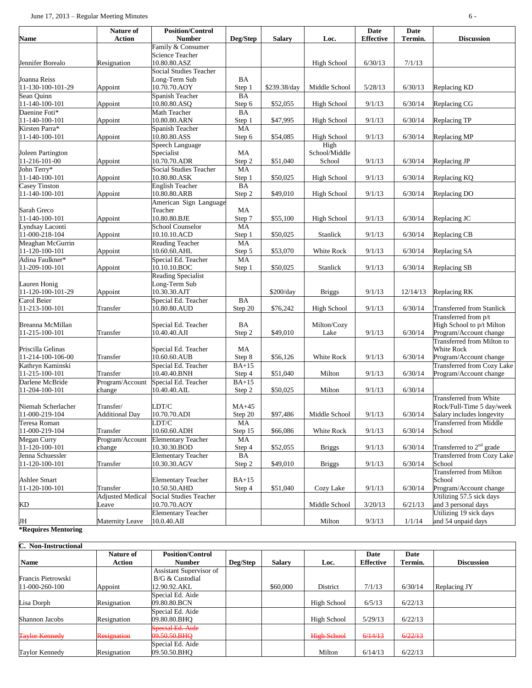| <b>Name</b>         | Nature of<br><b>Action</b> | <b>Position/Control</b><br><b>Number</b> | Deg/Step  | <b>Salary</b> | Loc.               | Date<br><b>Effective</b> | Date<br>Termin. | <b>Discussion</b>                    |
|---------------------|----------------------------|------------------------------------------|-----------|---------------|--------------------|--------------------------|-----------------|--------------------------------------|
|                     |                            | Family & Consumer                        |           |               |                    |                          |                 |                                      |
|                     |                            | <b>Science Teacher</b>                   |           |               |                    |                          |                 |                                      |
| Jennifer Borealo    | Resignation                | 10.80.80.ASZ                             |           |               | High School        | 6/30/13                  | 7/1/13          |                                      |
|                     |                            | <b>Social Studies Teacher</b>            |           |               |                    |                          |                 |                                      |
| Joanna Reiss        |                            | Long-Term Sub                            | BA        |               |                    |                          |                 |                                      |
| 11-130-100-101-29   | Appoint                    | 10.70.70.AOY                             | Step 1    | \$239.38/day  | Middle School      | 5/28/13                  | 6/30/13         | Replacing KD                         |
| Sean Quinn          |                            | Spanish Teacher                          | <b>BA</b> |               |                    |                          |                 |                                      |
| 11-140-100-101      | Appoint                    | 10.80.80.ASQ                             | Step 6    | \$52,055      | High School        | 9/1/13                   | 6/30/14         | Replacing CG                         |
| Daenine Foti*       |                            | Math Teacher                             | BA        |               |                    |                          |                 |                                      |
| 11-140-100-101      | Appoint                    | 10.80.80.ARN                             | Step 1    | \$47,995      | High School        | 9/1/13                   | 6/30/14         | Replacing TP                         |
| Kirsten Parra*      |                            | Spanish Teacher                          | MA        |               |                    |                          |                 |                                      |
| 11-140-100-101      | Appoint                    | 10.80.80.ASS                             | Step 6    | \$54,085      | <b>High School</b> | 9/1/13                   | 6/30/14         | Replacing MP                         |
|                     |                            | Speech Language                          |           |               | High               |                          |                 |                                      |
| Joleen Partington   |                            | Specialist                               | MA        |               | School/Middle      |                          |                 |                                      |
| 11-216-101-00       | Appoint                    | 10.70.70.ADR                             | Step 2    | \$51,040      | School             | 9/1/13                   | 6/30/14         | Replacing JP                         |
| John Terry*         |                            | <b>Social Studies Teacher</b>            | MA        |               |                    |                          |                 |                                      |
| 11-140-100-101      | Appoint                    | 10.80.80.ASK                             | Step 1    | \$50,025      | High School        | 9/1/13                   | 6/30/14         | Replacing KQ                         |
| Casey Tinston       |                            | <b>English Teacher</b>                   | BA        |               |                    |                          |                 |                                      |
| 11-140-100-101      | Appoint                    | 10.80.80.ARB                             | Step 2    | \$49,010      | High School        | 9/1/13                   | 6/30/14         | Replacing DO                         |
|                     |                            | American Sign Language                   |           |               |                    |                          |                 |                                      |
| Sarah Greco         |                            | Teacher                                  | MA        |               |                    |                          |                 |                                      |
| 11-140-100-101      | Appoint                    | 10.80.80.BJE                             | Step 7    | \$55,100      | High School        | 9/1/13                   | 6/30/14         | Replacing JC                         |
| Lyndsay Laconti     |                            | <b>School Counselor</b>                  | MA        |               |                    |                          |                 |                                      |
| 11-000-218-104      | Appoint                    | 10.10.10.ACD                             | Step 1    | \$50,025      | Stanlick           | 9/1/13                   | 6/30/14         | Replacing CB                         |
| Meaghan McGurrin    |                            |                                          | MA        |               |                    |                          |                 |                                      |
| 11-120-100-101      |                            | <b>Reading Teacher</b>                   |           |               |                    |                          |                 |                                      |
| Adina Faulkner*     | Appoint                    | 10.60.60.AHL                             | Step 5    | \$53,070      | White Rock         | 9/1/13                   | 6/30/14         | Replacing SA                         |
|                     |                            | Special Ed. Teacher                      | MA        |               |                    |                          |                 |                                      |
| 11-209-100-101      | Appoint                    | 10.10.10.BOC                             | Step 1    | \$50,025      | Stanlick           | 9/1/13                   | 6/30/14         | Replacing SB                         |
|                     |                            | Reading Specialist                       |           |               |                    |                          |                 |                                      |
| Lauren Honig        |                            | Long-Term Sub                            |           |               |                    |                          |                 |                                      |
| 11-120-100-101-29   | Appoint                    | 10.30.30.AJT                             |           | \$200/day     | <b>Briggs</b>      | 9/1/13                   | 12/14/13        | Replacing RK                         |
| Carol Beier         |                            | Special Ed. Teacher                      | BA        |               |                    |                          |                 |                                      |
| 11-213-100-101      | Transfer                   | 10.80.80.AUD                             | Step 20   | \$76,242      | <b>High School</b> | 9/1/13                   | 6/30/14         | <b>Transferred from Stanlick</b>     |
|                     |                            |                                          |           |               |                    |                          |                 | Transferred from p/t                 |
| Breanna McMillan    |                            | Special Ed. Teacher                      | BA        |               | Milton/Cozy        |                          |                 | High School to p/t Milton            |
| 11-215-100-101      | Transfer                   | 10.40.40.AJI                             | Step 2    | \$49,010      | Lake               | 9/1/13                   | 6/30/14         | Program/Account change               |
|                     |                            |                                          |           |               |                    |                          |                 | Transferred from Milton to           |
| Priscilla Gelinas   |                            | Special Ed. Teacher                      | MA        |               |                    |                          |                 | White Rock                           |
| 11-214-100-106-00   | Transfer                   | 10.60.60.AUB                             | Step 8    | \$56,126      | White Rock         | 9/1/13                   | 6/30/14         | Program/Account change               |
| Kathryn Kaminski    |                            | Special Ed. Teacher                      | $BA+15$   |               |                    |                          |                 | <b>Transferred from Cozy Lake</b>    |
| 11-215-100-101      | Transfer                   | 10.40.40.BNH                             | Step 4    | \$51,040      | Milton             | 9/1/13                   | 6/30/14         | Program/Account change               |
| Darlene McBride     | Program/Account            | Special Ed. Teacher                      | $BA+15$   |               |                    |                          |                 |                                      |
| 11-204-100-101      | change                     | 10.40.40.AIL                             | Step 2    | \$50,025      | Milton             | 9/1/13                   | 6/30/14         |                                      |
|                     |                            |                                          |           |               |                    |                          |                 | Transferred from White               |
| Niemah Scherlacher  | Transfer/                  | LDT/C                                    | $MA+45$   |               |                    |                          |                 | Rock/Full-Time 5 day/week            |
| 11-000-219-104      | <b>Additional Day</b>      | 10.70.70.ADI                             | Step 20   | \$97,486      | Middle School      | 9/1/13                   | 6/30/14         | Salary includes longevity            |
| Teresa Roman        |                            | LDT/C                                    | MA        |               |                    |                          |                 | <b>Transferred from Middle</b>       |
| 11-000-219-104      | Transfer                   | 10.60.60.ADH                             | Step 15   | \$66,086      | White Rock         | 9/1/13                   | 6/30/14         | School                               |
| Megan Curry         | Program/Account            | <b>Elementary Teacher</b>                | MA        |               |                    |                          |                 |                                      |
| 11-120-100-101      | change                     | 10.30.30.BOD                             | Step 4    | \$52,055      | <b>Briggs</b>      | 9/1/13                   | 6/30/14         | Transferred to 2 <sup>nd</sup> grade |
| Jenna Schuessler    |                            | <b>Elementary Teacher</b>                | BA        |               |                    |                          |                 | Transferred from Cozy Lake           |
| 11-120-100-101      | Transfer                   | 10.30.30.AGV                             | Step 2    | \$49,010      | <b>Briggs</b>      | 9/1/13                   | 6/30/14         | School                               |
|                     |                            |                                          |           |               |                    |                          |                 | <b>Transferred from Milton</b>       |
| <b>Ashlee Smart</b> |                            | <b>Elementary Teacher</b>                | $BA+15$   |               |                    |                          |                 | School                               |
| 11-120-100-101      | Transfer                   | 10.50.50.AHD                             | Step 4    | \$51,040      | Cozy Lake          | 9/1/13                   | 6/30/14         | Program/Account change               |
|                     | <b>Adjusted Medical</b>    | <b>Social Studies Teacher</b>            |           |               |                    |                          |                 | Utilizing 57.5 sick days             |
|                     |                            |                                          |           |               |                    |                          |                 |                                      |
| KD                  | Leave                      | 10.70.70.AOY                             |           |               | Middle School      | 3/20/13                  | 6/21/13         | and 3 personal days                  |
|                     |                            | <b>Elementary Teacher</b>                |           |               |                    |                          |                 | Utilizing 19 sick days               |
| JH                  | <b>Maternity Leave</b>     | 10.0.40.AII                              |           |               | Milton             | 9/3/13                   | 1/1/14          | and 54 unpaid days                   |

### **\*Requires Mentoring**

| C. Non-Instructional  | <b>Nature of</b>   | <b>Position/Control</b> |          |               |                    | Date             | Date    |                   |
|-----------------------|--------------------|-------------------------|----------|---------------|--------------------|------------------|---------|-------------------|
| <b>Name</b>           | Action             | <b>Number</b>           | Deg/Step | <b>Salary</b> | Loc.               | <b>Effective</b> | Termin. | <b>Discussion</b> |
|                       |                    | Assistant Supervisor of |          |               |                    |                  |         |                   |
| Francis Pietrowski    |                    | B/G & Custodial         |          |               |                    |                  |         |                   |
| 11-000-260-100        | Appoint            | 12.90.92.AKL            |          | \$60,000      | District           | 7/1/13           | 6/30/14 | Replacing JY      |
|                       |                    | Special Ed. Aide        |          |               |                    |                  |         |                   |
| Lisa Dorph            | Resignation        | 09.80.80.BCN            |          |               | High School        | 6/5/13           | 6/22/13 |                   |
|                       |                    | Special Ed. Aide        |          |               |                    |                  |         |                   |
| Shannon Jacobs        | Resignation        | 09.80.80.BHO            |          |               | High School        | 5/29/13          | 6/22/13 |                   |
|                       |                    | Special Ed. Aide        |          |               |                    |                  |         |                   |
| <b>Taylor Kennedy</b> | <b>Resignation</b> | 09.50.50.BHO            |          |               | <b>High School</b> | 6/14/13          | 6/22/13 |                   |
|                       |                    | Special Ed. Aide        |          |               |                    |                  |         |                   |
| <b>Taylor Kennedy</b> | Resignation        | 09.50.50.BHO            |          |               | Milton             | 6/14/13          | 6/22/13 |                   |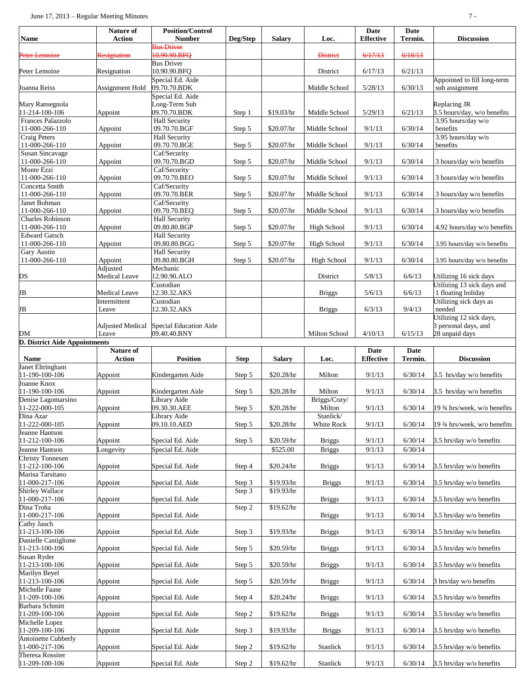| Name                                         | Nature of<br><b>Action</b>    | <b>Position/Control</b><br><b>Number</b> | Deg/Step    | <b>Salary</b> | Loc.                | Date<br><b>Effective</b> | <b>Date</b><br>Termin. | <b>Discussion</b>                                    |
|----------------------------------------------|-------------------------------|------------------------------------------|-------------|---------------|---------------------|--------------------------|------------------------|------------------------------------------------------|
| Peter Lemoine                                | Resignation                   | <b>Bus Driver</b><br>10.90.90.BFO        |             |               | <b>District</b>     | 6/17/13                  | 6/18/13                |                                                      |
| Peter Lemoine                                | Resignation                   | <b>Bus Driver</b><br>10.90.90.BFQ        |             |               | District            | 6/17/13                  | 6/21/13                |                                                      |
|                                              |                               | Special Ed. Aide                         |             |               |                     |                          |                        | Appointed to fill long-term                          |
| Joanna Reiss                                 | Assignment Hold               | 09.70.70.BDK<br>Special Ed. Aide         |             |               | Middle School       | 5/28/13                  | 6/30/13                | sub assignment                                       |
| Mary Ransegnola<br>11-214-100-106            | Appoint                       | ong-Term Sub<br>09.70.70.BDK             | Step 1      | \$19.03/hr    | Middle School       | 5/29/13                  | 6/21/13                | Replacing JR<br>3.5 hours/day, w/o benefits          |
| Frances Palazzolo                            |                               | <b>Hall Security</b>                     |             |               |                     |                          |                        | 3.95 hours/day w/o                                   |
| 11-000-266-110<br>Craig Peters               | Appoint                       | 09.70.70.BGF<br><b>Hall Security</b>     | Step 5      | \$20.07/hr    | Middle School       | 9/1/13                   | 6/30/14                | benefits<br>3.95 hours/day w/o                       |
| 11-000-266-110                               | Appoint                       | 09.70.70.BGE                             | Step 5      | \$20.07/hr    | Middle School       | 9/1/13                   | 6/30/14                | benefits                                             |
| Susan Sincavage<br>11-000-266-110            | Appoint                       | Caf/Security<br>09.70.70.BGD             | Step 5      | \$20.07/hr    | Middle School       | 9/1/13                   | 6/30/14                | 3 hours/day w/o benefits                             |
| Monte Ezzi<br>11-000-266-110                 | Appoint                       | Caf/Security<br>09.70.70.BEO             | Step 5      | \$20.07/hr    | Middle School       | 9/1/13                   | 6/30/14                | 3 hours/day w/o benefits                             |
| Concetta Smith<br>11-000-266-110             | Appoint                       | Caf/Security<br>09.70.70.BER             | Step 5      | \$20.07/hr    | Middle School       | 9/1/13                   | 6/30/14                | 3 hours/day w/o benefits                             |
| Janet Bohman                                 |                               | Caf/Security                             |             |               |                     |                          |                        |                                                      |
| 11-000-266-110<br>Charles Robinson           | Appoint                       | 09.70.70.BEQ<br><b>Hall Security</b>     | Step 5      | \$20.07/hr    | Middle School       | 9/1/13                   | 6/30/14                | 3 hours/day w/o benefits                             |
| 11-000-266-110<br><b>Edward Gatsch</b>       | Appoint                       | 09.80.80.BGP                             | Step 5      | \$20.07/hr    | <b>High School</b>  | 9/1/13                   | 6/30/14                | 4.92 hours/day w/o benefits                          |
| 11-000-266-110                               | Appoint                       | <b>Hall Security</b><br>09.80.80.BGG     | Step 5      | \$20.07/hr    | High School         | 9/1/13                   | 6/30/14                | 3.95 hours/day w/o benefits                          |
| Gary Austin<br>11-000-266-110                | Appoint                       | <b>Hall Security</b><br>09.80.80.BGH     | Step 5      | \$20.07/hr    | High School         | 9/1/13                   | 6/30/14                | 3.95 hours/day w/o benefits                          |
|                                              | Adjusted                      | Mechanic                                 |             |               |                     |                          |                        |                                                      |
| DS                                           | Medical Leave                 | 12.90.90.ALO<br>Custodian                |             |               | District            | 5/8/13                   | 6/6/13                 | Utilizing 16 sick days<br>Utilizing 13 sick days and |
| JB                                           | Medical Leave<br>Intermittent | 12.30.32.AKS<br>Custodian                |             |               | <b>Briggs</b>       | 5/6/13                   | 6/6/13                 | 1 floating holiday<br>Utilizing sick days as         |
| JB                                           | Leave                         | 12.30.32.AKS                             |             |               | <b>Briggs</b>       | 6/3/13                   | 9/4/13                 | needed<br>Utilizing 12 sick days,                    |
|                                              | <b>Adjusted Medical</b>       | <b>Special Education Aide</b>            |             |               |                     |                          |                        | 3 personal days, and                                 |
| DM<br>D. District Aide Appointments          | Leave                         | 09.40.40.BNY                             |             |               | Milton School       | 4/10/13                  | 6/15/13                | 28 unpaid days                                       |
|                                              |                               |                                          |             |               |                     |                          |                        |                                                      |
| Name                                         | Nature of<br><b>Action</b>    | <b>Position</b>                          | <b>Step</b> | <b>Salary</b> | Loc.                | Date<br><b>Effective</b> | <b>Date</b><br>Termin. | <b>Discussion</b>                                    |
| Janet Eltringham<br>11-190-100-106           | Appoint                       | Kindergarten Aide                        | Step 5      | \$20.28/hr    | Milton              | 9/1/13                   | 6/30/14                | 3.5 hrs/day w/o benefits                             |
| Joanne Knox<br>11-190-100-106                | Appoint                       | Kindergarten Aide                        | Step 5      | \$20.28/hr    | Milton              | 9/1/13                   | 6/30/14                | 3.5 hrs/day w/o benefits                             |
| Denise Lagomarsino                           |                               | ibrary Aide                              |             |               | Briggs/Cozy/        |                          |                        |                                                      |
| 11-222-000-105<br>Dina Azar                  | Appoint                       | 09.30.30.AEE<br>ibrary Aide              | Step 5      | \$20.28/hr    | Milton<br>Stanlick/ | 9/1/13                   | 6/30/14                | 19 3⁄4 hrs/week, w/o benefits                        |
| 11-222-000-105                               | Appoint                       | 09.10.10.AED                             | Step 5      | \$20.28/hr    | White Rock          | 9/1/13                   | 6/30/14                | 19 3/4 hrs/week, w/o benefits                        |
| Jeanne Hantson<br>11-212-100-106             | Appoint                       | Special Ed. Aide                         | Step 5      | \$20.59/hr    | <b>Briggs</b>       | 9/1/13                   | 6/30/14                | 3.5 hrs/day w/o benefits                             |
| Jeanne Hantson<br><b>Christy Tonnesen</b>    | Longevity                     | Special Ed. Aide                         |             | \$525.00      | <b>Briggs</b>       | 9/1/13                   | 6/30/14                |                                                      |
| 11-212-100-106                               | Appoint                       | Special Ed. Aide                         | Step 4      | \$20.24/hr    | <b>Briggs</b>       | 9/1/13                   | 6/30/14                | 3.5 hrs/day w/o benefits                             |
| Marisa Tarsitano<br>11-000-217-106           | Appoint                       | Special Ed. Aide                         | Step 3      | \$19.93/hr    | <b>Briggs</b>       | 9/1/13                   | 6/30/14                | 3.5 hrs/day w/o benefits                             |
| Shirley Wallace<br>11-000-217-106            | Appoint                       | Special Ed. Aide                         | Step 3      | \$19.93/hr    | <b>Briggs</b>       | 9/1/13                   | 6/30/14                | 3.5 hrs/day w/o benefits                             |
| Dina Troha                                   |                               |                                          | Step 2      | \$19.62/hr    |                     |                          |                        |                                                      |
| 11-000-217-106<br>Cathy Jauch                | Appoint                       | Special Ed. Aide                         |             |               | <b>Briggs</b>       | 9/1/13                   | 6/30/14                | 3.5 hrs/day w/o benefits                             |
| 11-213-100-106<br>Danielle Castiglione       | Appoint                       | Special Ed. Aide                         | Step 3      | \$19.93/hr    | <b>Briggs</b>       | 9/1/13                   | 6/30/14                | 3.5 hrs/day w/o benefits                             |
| 11-213-100-106<br>Susan Ryder                | Appoint                       | Special Ed. Aide                         | Step 5      | \$20.59/hr    | <b>Briggs</b>       | 9/1/13                   | 6/30/14                | 3.5 hrs/day w/o benefits                             |
| 11-213-100-106<br>Marilyn Beyel              | Appoint                       | Special Ed. Aide                         | Step 5      | \$20.59/hr    | <b>Briggs</b>       | 9/1/13                   | 6/30/14                | 3.5 hrs/day w/o benefits                             |
| 11-213-100-106                               | Appoint                       | Special Ed. Aide                         | Step 5      | \$20.59/hr    | <b>Briggs</b>       | 9/1/13                   | 6/30/14                | 3 hrs/day w/o benefits                               |
| Michelle Faase<br>11-209-100-106             | Appoint                       | Special Ed. Aide                         | Step 4      | \$20.24/hr    | <b>Briggs</b>       | 9/1/13                   | 6/30/14                | 3.5 hrs/day w/o benefits                             |
| Barbara Schmitt<br>11-209-100-106            | Appoint                       | Special Ed. Aide                         | Step 2      | \$19.62/hr    | <b>Briggs</b>       | 9/1/13                   | 6/30/14                | 3.5 hrs/day w/o benefits                             |
| Michelle Lopez<br>11-209-100-106             | Appoint                       | Special Ed. Aide                         | Step 3      | \$19.93/hr    | <b>Briggs</b>       | 9/1/13                   | 6/30/14                | 3.5 hrs/day w/o benefits                             |
| <b>Antoinette Cubberly</b><br>11-000-217-106 | Appoint                       | Special Ed. Aide                         | Step 2      | \$19.62/hr    | Stanlick            | 9/1/13                   | 6/30/14                | 3.5 hrs/day w/o benefits                             |
| <b>Theresa Rossiter</b><br>11-209-100-106    | Appoint                       | Special Ed. Aide                         | Step 2      | \$19.62/hr    | Stanlick            | 9/1/13                   | 6/30/14                | 3.5 hrs/day w/o benefits                             |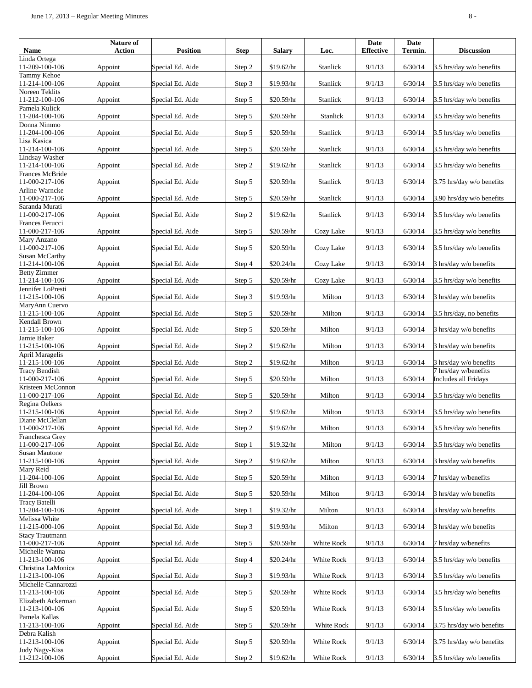| <b>Name</b>                              | Nature of<br><b>Action</b> | <b>Position</b>  | <b>Step</b> | <b>Salary</b> | Loc.       | <b>Date</b><br><b>Effective</b> | <b>Date</b><br>Termin. | <b>Discussion</b>                            |
|------------------------------------------|----------------------------|------------------|-------------|---------------|------------|---------------------------------|------------------------|----------------------------------------------|
| inda Ortega                              |                            |                  |             |               |            |                                 |                        |                                              |
| 1-209-100-106                            | Appoint                    | Special Ed. Aide | Step 2      | \$19.62/hr    | Stanlick   | 9/1/13                          | 6/30/14                | 3.5 hrs/day w/o benefits                     |
| Tammy Kehoe<br>11-214-100-106            | Appoint                    | Special Ed. Aide | Step 3      | \$19.93/hr    | Stanlick   | 9/1/13                          | 6/30/14                | 3.5 hrs/day w/o benefits                     |
| Noreen Teklits<br>11-212-100-106         | Appoint                    | Special Ed. Aide | Step 5      | \$20.59/hr    | Stanlick   | 9/1/13                          | 6/30/14                | 3.5 hrs/day w/o benefits                     |
| Pamela Kulick<br>1-204-100-106           | Appoint                    | Special Ed. Aide | Step 5      | \$20.59/hr    | Stanlick   | 9/1/13                          | 6/30/14                | 3.5 hrs/day w/o benefits                     |
| Donna Nimmo                              |                            |                  |             |               |            |                                 |                        |                                              |
| 11-204-100-106<br>Lisa Kasica            | Appoint                    | Special Ed. Aide | Step 5      | \$20.59/hr    | Stanlick   | 9/1/13                          | 6/30/14                | 3.5 hrs/day w/o benefits                     |
| 11-214-100-106                           | Appoint                    | Special Ed. Aide | Step 5      | \$20.59/hr    | Stanlick   | 9/1/13                          | 6/30/14                | 3.5 hrs/day w/o benefits                     |
| <b>Lindsay Washer</b><br>11-214-100-106  | Appoint                    | Special Ed. Aide | Step 2      | \$19.62/hr    | Stanlick   | 9/1/13                          | 6/30/14                | 3.5 hrs/day w/o benefits                     |
| Frances McBride<br>11-000-217-106        | Appoint                    | Special Ed. Aide | Step 5      | \$20.59/hr    | Stanlick   | 9/1/13                          | 6/30/14                | 3.75 hrs/day w/o benefits                    |
| Arline Warncke<br>11-000-217-106         | Appoint                    | Special Ed. Aide | Step 5      | \$20.59/hr    | Stanlick   | 9/1/13                          | 6/30/14                | 3.90 hrs/day w/o benefits                    |
| Saranda Murati                           |                            |                  |             |               |            |                                 |                        |                                              |
| 11-000-217-106<br>Frances Ferucci        | Appoint                    | Special Ed. Aide | Step 2      | \$19.62/hr    | Stanlick   | 9/1/13                          | 6/30/14                | 3.5 hrs/day w/o benefits                     |
| 11-000-217-106<br>Mary Anzano            | Appoint                    | Special Ed. Aide | Step 5      | \$20.59/hr    | Cozy Lake  | 9/1/13                          | 6/30/14                | 3.5 hrs/day w/o benefits                     |
| 11-000-217-106                           | Appoint                    | Special Ed. Aide | Step 5      | \$20.59/hr    | Cozy Lake  | 9/1/13                          | 6/30/14                | 3.5 hrs/day w/o benefits                     |
| Susan McCarthy<br>11-214-100-106         | Appoint                    | Special Ed. Aide | Step 4      | \$20.24/hr    | Cozy Lake  | 9/1/13                          | 6/30/14                | 3 hrs/day w/o benefits                       |
| <b>Betty</b> Zimmer<br>11-214-100-106    | Appoint                    | Special Ed. Aide | Step 5      | \$20.59/hr    | Cozy Lake  | 9/1/13                          | 6/30/14                | 3.5 hrs/day w/o benefits                     |
| Jennifer LoPresti<br>11-215-100-106      | Appoint                    | Special Ed. Aide | Step 3      | \$19.93/hr    | Milton     | 9/1/13                          | 6/30/14                | 3 hrs/day w/o benefits                       |
| MaryAnn Cuervo<br>11-215-100-106         | Appoint                    | Special Ed. Aide | Step 5      | \$20.59/hr    | Milton     | 9/1/13                          | 6/30/14                | 3.5 hrs/day, no benefits                     |
| Kendall Brown                            |                            |                  |             |               |            |                                 |                        |                                              |
| 11-215-100-106<br>Jamie Baker            | Appoint                    | Special Ed. Aide | Step 5      | \$20.59/hr    | Milton     | 9/1/13                          | 6/30/14                | 3 hrs/day w/o benefits                       |
| 11-215-100-106                           | Appoint                    | Special Ed. Aide | Step 2      | \$19.62/hr    | Milton     | 9/1/13                          | 6/30/14                | 3 hrs/day w/o benefits                       |
| April Maragelis<br>11-215-100-106        | Appoint                    | Special Ed. Aide | Step 2      | \$19.62/hr    | Milton     | 9/1/13                          | 6/30/14                | 3 hrs/day w/o benefits                       |
| <b>Tracy Bendish</b><br>11-000-217-106   | Appoint                    | Special Ed. Aide | Step 5      | \$20.59/hr    | Milton     | 9/1/13                          | 6/30/14                | 7 hrs/day w/benefits<br>Includes all Fridays |
| Kristeen McConnon<br>11-000-217-106      | Appoint                    | Special Ed. Aide | Step 5      | \$20.59/hr    | Milton     | 9/1/13                          | 6/30/14                | 3.5 hrs/day w/o benefits                     |
| Regina Oelkers<br>11-215-100-106         | Appoint                    | Special Ed. Aide | Step 2      | \$19.62/hr    | Milton     | 9/1/13                          | 6/30/14                | 3.5 hrs/day w/o benefits                     |
| Diane McClellan<br>11-000-217-106        | Appoint                    | Special Ed. Aide | Step 2      | $$19.62/hr$   | Milton     | 9/1/13                          | 6/30/14                | 3.5 hrs/day w/o benefits                     |
| Franchesca Grey<br>11-000-217-106        | Appoint                    | Special Ed. Aide | Step 1      | \$19.32/hr    | Milton     | 9/1/13                          | 6/30/14                | 3.5 hrs/day w/o benefits                     |
| Susan Mautone                            |                            |                  |             |               |            |                                 |                        |                                              |
| 11-215-100-106                           | Appoint                    | Special Ed. Aide | Step 2      | \$19.62/hr    | Milton     | 9/1/13                          | 6/30/14                | 3 hrs/day w/o benefits                       |
| Mary Reid<br>11-204-100-106              | Appoint                    | Special Ed. Aide | Step 5      | \$20.59/hr    | Milton     | 9/1/13                          | 6/30/14                | 7 hrs/day w/benefits                         |
| Jill Brown<br>11-204-100-106             | Appoint                    | Special Ed. Aide | Step 5      | \$20.59/hr    | Milton     | 9/1/13                          | 6/30/14                | 3 hrs/day w/o benefits                       |
| Tracy Batelli<br>11-204-100-106          | Appoint                    | Special Ed. Aide | Step 1      | \$19.32/hr    | Milton     | 9/1/13                          | 6/30/14                | 3 hrs/day w/o benefits                       |
| Melissa White<br>11-215-000-106          | Appoint                    | Special Ed. Aide | Step 3      | \$19.93/hr    | Milton     | 9/1/13                          | 6/30/14                | 3 hrs/day w/o benefits                       |
| <b>Stacy Trautmann</b><br>11-000-217-106 | Appoint                    | Special Ed. Aide | Step 5      | \$20.59/hr    | White Rock | 9/1/13                          | 6/30/14                | 7 hrs/day w/benefits                         |
| Michelle Wanna<br>11-213-100-106         | Appoint                    | Special Ed. Aide | Step 4      | \$20.24/hr    | White Rock | 9/1/13                          | 6/30/14                | 3.5 hrs/day w/o benefits                     |
| Christina LaMonica<br>11-213-100-106     | Appoint                    | Special Ed. Aide | Step 3      | \$19.93/hr    | White Rock | 9/1/13                          | 6/30/14                | 3.5 hrs/day w/o benefits                     |
| Michelle Cannarozzi                      |                            |                  |             |               |            |                                 |                        |                                              |
| 11-213-100-106<br>Elizabeth Ackerman     | Appoint                    | Special Ed. Aide | Step 5      | \$20.59/hr    | White Rock | 9/1/13                          | 6/30/14                | 3.5 hrs/day w/o benefits                     |
| 11-213-100-106<br>Pamela Kallas          | Appoint                    | Special Ed. Aide | Step 5      | \$20.59/hr    | White Rock | 9/1/13                          | 6/30/14                | 3.5 hrs/day w/o benefits                     |
| 11-213-100-106<br>Debra Kalish           | Appoint                    | Special Ed. Aide | Step 5      | \$20.59/hr    | White Rock | 9/1/13                          | 6/30/14                | 3.75 hrs/day w/o benefits                    |
| 11-213-100-106<br>Judy Nagy-Kiss         | Appoint                    | Special Ed. Aide | Step 5      | \$20.59/hr    | White Rock | 9/1/13                          | 6/30/14                | 3.75 hrs/day w/o benefits                    |
| 11-212-100-106                           | Appoint                    | Special Ed. Aide | Step 2      | \$19.62/hr    | White Rock | 9/1/13                          | 6/30/14                | 3.5 hrs/day w/o benefits                     |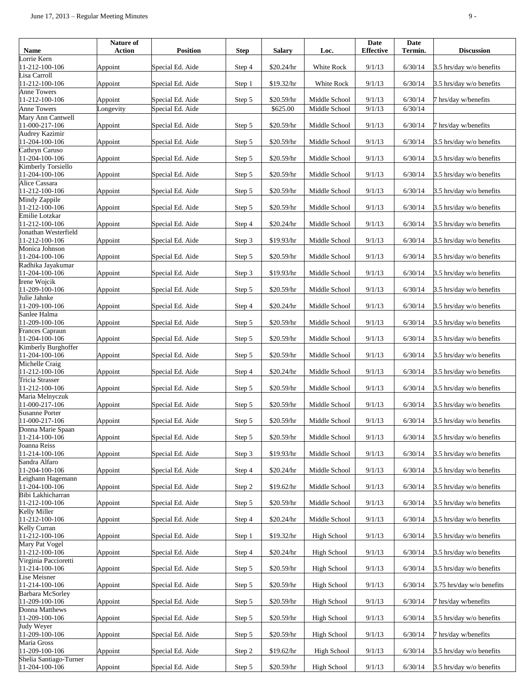| Name                                          | Nature of<br><b>Action</b> | <b>Position</b>  | <b>Step</b> | <b>Salary</b> | Loc.               | Date<br><b>Effective</b> | <b>Date</b><br>Termin. | <b>Discussion</b>         |
|-----------------------------------------------|----------------------------|------------------|-------------|---------------|--------------------|--------------------------|------------------------|---------------------------|
| orrie Kern                                    |                            |                  |             |               |                    |                          |                        |                           |
| 11-212-100-106<br>isa Carroll                 | Appoint                    | Special Ed. Aide | Step 4      | \$20.24/hr    | White Rock         | 9/1/13                   | 6/30/14                | 3.5 hrs/day w/o benefits  |
| 11-212-100-106                                | Appoint                    | Special Ed. Aide | Step 1      | \$19.32/hr    | White Rock         | 9/1/13                   | 6/30/14                | 3.5 hrs/day w/o benefits  |
| Anne Towers<br>11-212-100-106                 | Appoint                    | Special Ed. Aide | Step 5      | \$20.59/hr    | Middle School      | 9/1/13                   | 6/30/14                | 7 hrs/day w/benefits      |
| Anne Towers                                   | Longevity                  | Special Ed. Aide |             | \$625.00      | Middle School      | 9/1/13                   | 6/30/14                |                           |
| Mary Ann Cantwell<br>11-000-217-106           | Appoint                    | Special Ed. Aide | Step 5      | \$20.59/hr    | Middle School      | 9/1/13                   | 6/30/14                | 7 hrs/day w/benefits      |
| Audrey Kazimir<br>11-204-100-106              | Appoint                    | Special Ed. Aide | Step 5      | \$20.59/hr    | Middle School      | 9/1/13                   | 6/30/14                | 3.5 hrs/day w/o benefits  |
| Cathryn Caruso<br>11-204-100-106              | Appoint                    | Special Ed. Aide | Step 5      | \$20.59/hr    | Middle School      | 9/1/13                   | 6/30/14                | 3.5 hrs/day w/o benefits  |
| Kimberly Torsiello                            |                            |                  |             |               |                    |                          |                        |                           |
| 11-204-100-106<br>Alice Cassara               | Appoint                    | Special Ed. Aide | Step 5      | \$20.59/hr    | Middle School      | 9/1/13                   | 6/30/14                | 3.5 hrs/day w/o benefits  |
| 11-212-100-106                                | Appoint                    | Special Ed. Aide | Step 5      | \$20.59/hr    | Middle School      | 9/1/13                   | 6/30/14                | 3.5 hrs/day w/o benefits  |
| Mindy Zappile<br>11-212-100-106               | Appoint                    | Special Ed. Aide | Step 5      | \$20.59/hr    | Middle School      | 9/1/13                   | 6/30/14                | 3.5 hrs/day w/o benefits  |
| Emilie Lotzkar<br>11-212-100-106              | Appoint                    | Special Ed. Aide | Step 4      | \$20.24/hr    | Middle School      | 9/1/13                   | 6/30/14                | 3.5 hrs/day w/o benefits  |
| <b>Jonathan Westerfield</b><br>11-212-100-106 | Appoint                    | Special Ed. Aide | Step 3      | \$19.93/hr    | Middle School      | 9/1/13                   | 6/30/14                | 3.5 hrs/day w/o benefits  |
| Monica Johnson<br>11-204-100-106              | Appoint                    | Special Ed. Aide | Step 5      | \$20.59/hr    | Middle School      | 9/1/13                   | 6/30/14                | 3.5 hrs/day w/o benefits  |
| Radhika Jayakumar<br>11-204-100-106           | Appoint                    | Special Ed. Aide | Step 3      | \$19.93/hr    | Middle School      | 9/1/13                   | 6/30/14                | 3.5 hrs/day w/o benefits  |
| Irene Wojcik<br>11-209-100-106                | Appoint                    | Special Ed. Aide | Step 5      | \$20.59/hr    | Middle School      | 9/1/13                   | 6/30/14                | 3.5 hrs/day w/o benefits  |
| Julie Jahnke<br>11-209-100-106                | Appoint                    | Special Ed. Aide | Step 4      | \$20.24/hr    | Middle School      | 9/1/13                   | 6/30/14                | 3.5 hrs/day w/o benefits  |
| Sanlee Halma<br>11-209-100-106                | Appoint                    | Special Ed. Aide | Step 5      | \$20.59/hr    | Middle School      | 9/1/13                   | 6/30/14                | 3.5 hrs/day w/o benefits  |
| Frances Capraun<br>11-204-100-106             | Appoint                    | Special Ed. Aide | Step 5      | \$20.59/hr    | Middle School      | 9/1/13                   | 6/30/14                | 3.5 hrs/day w/o benefits  |
| Kimberly Burghoffer<br>11-204-100-106         | Appoint                    | Special Ed. Aide | Step 5      | \$20.59/hr    | Middle School      | 9/1/13                   | 6/30/14                | 3.5 hrs/day w/o benefits  |
| Michelle Craig<br>11-212-100-106              | Appoint                    | Special Ed. Aide | Step 4      | \$20.24/hr    | Middle School      | 9/1/13                   | 6/30/14                | 3.5 hrs/day w/o benefits  |
| Tricia Strasser<br>11-212-100-106             | Appoint                    | Special Ed. Aide | Step 5      | \$20.59/hr    | Middle School      | 9/1/13                   | 6/30/14                | 3.5 hrs/day w/o benefits  |
| Maria Melnyczuk<br>11-000-217-106             | Appoint                    | Special Ed. Aide | Step 5      | $$20.59/hr$   | Middle School      | 9/1/13                   | 6/30/14                | 3.5 hrs/day w/o benefits  |
| <b>Susanne Porter</b><br>11-000-217-106       | Appoint                    | Special Ed. Aide | Step 5      | \$20.59/hr    | Middle School      | 9/1/13                   | 6/30/14                | 3.5 hrs/day w/o benefits  |
| Donna Marie Spaan<br>11-214-100-106           | Appoint                    | Special Ed. Aide | Step 5      | \$20.59/hr    | Middle School      | 9/1/13                   | 6/30/14                | 3.5 hrs/day w/o benefits  |
| Joanna Reiss<br>11-214-100-106                | Appoint                    | Special Ed. Aide | Step 3      | \$19.93/hr    | Middle School      | 9/1/13                   | 6/30/14                | 3.5 hrs/day w/o benefits  |
| Sandra Alfaro                                 |                            |                  |             |               |                    |                          |                        |                           |
| 11-204-100-106<br>Leighann Hagemann           | Appoint                    | Special Ed. Aide | Step 4      | \$20.24/hr    | Middle School      | 9/1/13                   | 6/30/14                | 3.5 hrs/day w/o benefits  |
| 11-204-100-106                                | Appoint                    | Special Ed. Aide | Step 2      | \$19.62/hr    | Middle School      | 9/1/13                   | 6/30/14                | 3.5 hrs/day w/o benefits  |
| Bibi Lakhicharran<br>11-212-100-106           | Appoint                    | Special Ed. Aide | Step 5      | \$20.59/hr    | Middle School      | 9/1/13                   | 6/30/14                | 3.5 hrs/day w/o benefits  |
| Kelly Miller<br>11-212-100-106                | Appoint                    | Special Ed. Aide | Step 4      | \$20.24/hr    | Middle School      | 9/1/13                   | 6/30/14                | 3.5 hrs/day w/o benefits  |
| Kelly Curran<br>11-212-100-106                | Appoint                    | Special Ed. Aide | Step 1      | \$19.32/hr    | <b>High School</b> | 9/1/13                   | 6/30/14                | 3.5 hrs/day w/o benefits  |
| Mary Pat Vogel<br>11-212-100-106              | Appoint                    | Special Ed. Aide | Step 4      | \$20.24/hr    | <b>High School</b> | 9/1/13                   | 6/30/14                | 3.5 hrs/day w/o benefits  |
| Virginia Paccioretti                          |                            |                  |             |               |                    |                          |                        |                           |
| 11-214-100-106<br>Lise Meisner                | Appoint                    | Special Ed. Aide | Step 5      | \$20.59/hr    | High School        | 9/1/13                   | 6/30/14                | 3.5 hrs/day w/o benefits  |
| 11-214-100-106<br>Barbara McSorley            | Appoint                    | Special Ed. Aide | Step 5      | \$20.59/hr    | High School        | 9/1/13                   | 6/30/14                | 3.75 hrs/day w/o benefits |
| 11-209-100-106<br>Donna Matthews              | Appoint                    | Special Ed. Aide | Step 5      | \$20.59/hr    | High School        | 9/1/13                   | 6/30/14                | 7 hrs/day w/benefits      |
| 11-209-100-106                                | Appoint                    | Special Ed. Aide | Step 5      | \$20.59/hr    | <b>High School</b> | 9/1/13                   | 6/30/14                | 3.5 hrs/day w/o benefits  |
| Judy Weyer<br>11-209-100-106<br>Maria Gross   | Appoint                    | Special Ed. Aide | Step 5      | \$20.59/hr    | <b>High School</b> | 9/1/13                   | 6/30/14                | 7 hrs/day w/benefits      |
| 11-209-100-106                                | Appoint                    | Special Ed. Aide | Step 2      | \$19.62/hr    | High School        | 9/1/13                   | 6/30/14                | 3.5 hrs/day w/o benefits  |
| Shelia Santiago-Turner<br>11-204-100-106      | Appoint                    | Special Ed. Aide | Step 5      | \$20.59/hr    | <b>High School</b> | 9/1/13                   | 6/30/14                | 3.5 hrs/day w/o benefits  |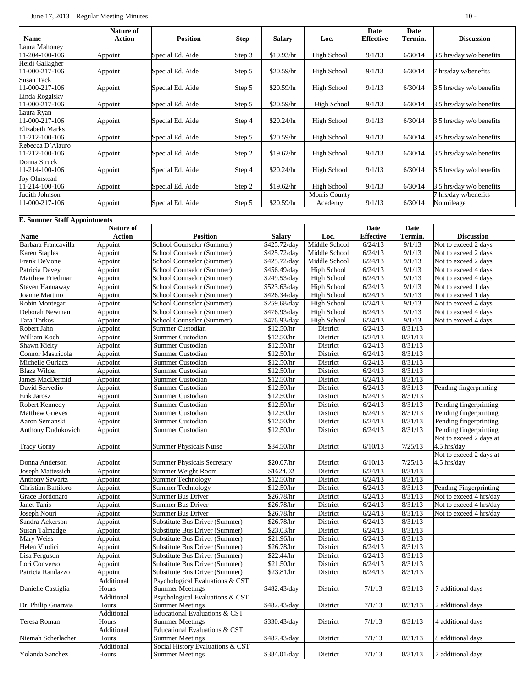|                       | <b>Nature of</b> |                  |             |               |               | Date             | Date    |                          |
|-----------------------|------------------|------------------|-------------|---------------|---------------|------------------|---------|--------------------------|
| <b>Name</b>           | Action           | <b>Position</b>  | <b>Step</b> | <b>Salary</b> | Loc.          | <b>Effective</b> | Termin. | <b>Discussion</b>        |
| aura Mahoney          |                  |                  |             |               |               |                  |         |                          |
| 1-204-100-106         | Appoint          | Special Ed. Aide | Step 3      | \$19.93/hr    | High School   | 9/1/13           | 6/30/14 | 3.5 hrs/day w/o benefits |
| Heidi Gallagher       |                  |                  |             |               |               |                  |         |                          |
| 1-000-217-106         | Appoint          | Special Ed. Aide | Step 5      | \$20.59/hr    | High School   | 9/1/13           | 6/30/14 | 7 hrs/day w/benefits     |
| Susan Tack            |                  |                  |             |               |               |                  |         |                          |
| 1-000-217-106         | Appoint          | Special Ed. Aide | Step 5      | \$20.59/hr    | High School   | 9/1/13           | 6/30/14 | 3.5 hrs/day w/o benefits |
| Linda Rogalsky        |                  |                  |             |               |               |                  |         |                          |
| 1-000-217-106         | Appoint          | Special Ed. Aide | Step 5      | \$20.59/hr    | High School   | 9/1/13           | 6/30/14 | 3.5 hrs/day w/o benefits |
| Laura Ryan            |                  |                  |             |               |               |                  |         |                          |
| 1-000-217-106         | Appoint          | Special Ed. Aide | Step 4      | \$20.24/hr    | High School   | 9/1/13           | 6/30/14 | 3.5 hrs/day w/o benefits |
| Elizabeth Marks       |                  |                  |             |               |               |                  |         |                          |
| $1 - 212 - 100 - 106$ | Appoint          | Special Ed. Aide | Step 5      | \$20.59/hr    | High School   | 9/1/13           | 6/30/14 | 3.5 hrs/day w/o benefits |
| Rebecca D'Alauro      |                  |                  |             |               |               |                  |         |                          |
| $1 - 212 - 100 - 106$ | Appoint          | Special Ed. Aide | Step 2      | \$19.62/hr    | High School   | 9/1/13           | 6/30/14 | 3.5 hrs/day w/o benefits |
| Donna Struck          |                  |                  |             |               |               |                  |         |                          |
| 1-214-100-106         | Appoint          | Special Ed. Aide | Step 4      | \$20.24/hr    | High School   | 9/1/13           | 6/30/14 | 3.5 hrs/day w/o benefits |
| Joy Olmstead          |                  |                  |             |               |               |                  |         |                          |
| 1-214-100-106         | Appoint          | Special Ed. Aide | Step 2      | \$19.62/hr    | High School   | 9/1/13           | 6/30/14 | 3.5 hrs/day w/o benefits |
| Judith Johnson        |                  |                  |             |               | Morris County |                  |         | 7 hrs/day w/benefits     |
| 1-000-217-106         | Appoint          | Special Ed. Aide | Step 5      | \$20.59/hr    | Academy       | 9/1/13           | 6/30/14 | No mileage               |

|                            | <b>E. Summer Staff Appointments</b> |                                          |                      |                    |                  |                   |                         |  |  |
|----------------------------|-------------------------------------|------------------------------------------|----------------------|--------------------|------------------|-------------------|-------------------------|--|--|
|                            | Nature of                           |                                          |                      |                    | Date             | Date              |                         |  |  |
| <b>Name</b>                | <b>Action</b>                       | <b>Position</b>                          | <b>Salary</b>        | Loc.               | <b>Effective</b> | Termin.           | <b>Discussion</b>       |  |  |
| Barbara Francavilla        | Appoint                             | School Counselor (Summer)                | \$425.72/day         | Middle School      | 6/24/13          | 9/1/13            | Not to exceed 2 days    |  |  |
| <b>Karen Staples</b>       | Appoint                             | School Counselor (Summer)                | $\sqrt{$425.72/day}$ | Middle School      | 6/24/13          | $\frac{9}{1}{13}$ | Not to exceed 2 days    |  |  |
| Frank DeVone               | Appoint                             | School Counselor (Summer)                | \$425.72/day         | Middle School      | 6/24/13          | 9/1/13            | Not to exceed 2 days    |  |  |
| Patricia Davey             | Appoint                             | School Counselor (Summer)                | \$456.49/day         | High School        | 6/24/13          | 9/1/13            | Not to exceed 4 days    |  |  |
| Matthew Friedman           | Appoint                             | School Counselor (Summer)                | \$249.53/day         | High School        | 6/24/13          | 9/1/13            | Not to exceed 4 days    |  |  |
| Steven Hannaway            | Appoint                             | School Counselor (Summer)                | \$523.63/day         | <b>High School</b> | 6/24/13          | 9/1/13            | Not to exceed 1 day     |  |  |
| Joanne Martino             | Appoint                             | School Counselor (Summer)                | \$426.34/day         | High School        | 6/24/13          | 9/1/13            | Not to exceed 1 day     |  |  |
| Robin Montegari            | Appoint                             | School Counselor (Summer)                | \$259.68/day         | High School        | 6/24/13          | 9/1/13            | Not to exceed 4 days    |  |  |
| Deborah Newman             | Appoint                             | School Counselor (Summer)                | \$476.93/day         | <b>High School</b> | 6/24/13          | 9/1/13            | Not to exceed 4 days    |  |  |
| <b>Tara Torkos</b>         | Appoint                             | School Counselor (Summer)                | \$476.93/day         | High School        | 6/24/13          | 9/1/13            | Not to exceed 4 days    |  |  |
| Robert Jahn                | Appoint                             | Summer Custodian                         | \$12.50/hr           | District           | 6/24/13          | 8/31/13           |                         |  |  |
| William Koch               | Appoint                             | Summer Custodian                         | \$12.50/hr           | District           | 6/24/13          | 8/31/13           |                         |  |  |
| Shawn Kielty               | Appoint                             | Summer Custodian                         | \$12.50/hr           | District           | 6/24/13          | 8/31/13           |                         |  |  |
| Connor Mastricola          | Appoint                             | Summer Custodian                         | \$12.50/hr           | <b>District</b>    | 6/24/13          | 8/31/13           |                         |  |  |
| Michelle Gurlacz           | Appoint                             | Summer Custodian                         | \$12.50/hr           | District           | 6/24/13          | 8/31/13           |                         |  |  |
| <b>Blaze Wilder</b>        | Appoint                             | Summer Custodian                         | \$12.50/hr           | District           | 6/24/13          | 8/31/13           |                         |  |  |
| James MacDermid            | Appoint                             | Summer Custodian                         | \$12.50/hr           | District           | 6/24/13          | 8/31/13           |                         |  |  |
| David Servedio             | Appoint                             | Summer Custodian                         | \$12.50/hr           | District           | 6/24/13          | 8/31/13           | Pending fingerprinting  |  |  |
| Erik Jarosz                | Appoint                             | Summer Custodian                         | \$12.50/hr           | District           | 6/24/13          | 8/31/13           |                         |  |  |
| Robert Kennedy             | Appoint                             | Summer Custodian                         | \$12.50/hr           | District           | 6/24/13          | 8/31/13           | Pending fingerprinting  |  |  |
| <b>Matthew Grieves</b>     | Appoint                             | Summer Custodian                         | \$12.50/hr           | District           | 6/24/13          | 8/31/13           | Pending fingerprinting  |  |  |
| Aaron Semanski             | Appoint                             | Summer Custodian                         | \$12.50/hr           | District           | 6/24/13          | 8/31/13           | Pending fingerprinting  |  |  |
| <b>Anthony Dudukovich</b>  | Appoint                             | Summer Custodian                         | \$12.50/hr           | District           | 6/24/13          | 8/31/13           | Pending fingerprinting  |  |  |
|                            |                                     |                                          |                      |                    |                  |                   | Not to exceed 2 days at |  |  |
| <b>Tracy Gorny</b>         | Appoint                             | <b>Summer Physicals Nurse</b>            | \$34.50/hr           | District           | 6/10/13          | 7/25/13           | 4.5 hrs/day             |  |  |
|                            |                                     |                                          |                      |                    |                  |                   | Not to exceed 2 days at |  |  |
| Donna Anderson             | Appoint                             | <b>Summer Physicals Secretary</b>        | \$20.07/hr           | District           | 6/10/13          | 7/25/13           | 4.5 hrs/day             |  |  |
| <b>Joseph Mattessich</b>   | Appoint                             | Summer Weight Room                       | \$1624.02            | District           | 6/24/13          | 8/31/13           |                         |  |  |
| <b>Anthony Szwartz</b>     | Appoint                             | <b>Summer Technology</b>                 | \$12.50/hr           | District           | 6/24/13          | 8/31/13           |                         |  |  |
| <b>Christian Battiloro</b> | Appoint                             | <b>Summer Technology</b>                 | \$12.50/hr           | District           | 6/24/13          | 8/31/13           | Pending Fingerprinting  |  |  |
| Grace Bordonaro            | Appoint                             | <b>Summer Bus Driver</b>                 | \$26.78/hr           | District           | 6/24/13          | 8/31/13           | Not to exceed 4 hrs/day |  |  |
| Janet Tanis                | Appoint                             | Summer Bus Driver                        | \$26.78/hr           | District           | 6/24/13          | 8/31/13           | Not to exceed 4 hrs/day |  |  |
| Joseph Nouri               | Appoint                             | Summer Bus Driver                        | \$26.78/hr           | District           | 6/24/13          | 8/31/13           | Not to exceed 4 hrs/day |  |  |
| Sandra Ackerson            | Appoint                             | <b>Substitute Bus Driver (Summer)</b>    | \$26.78/hr           | District           | 6/24/13          | 8/31/13           |                         |  |  |
| Susan Talmadge             | Appoint                             | <b>Substitute Bus Driver (Summer)</b>    | \$23.03/hr           | District           | 6/24/13          | 8/31/13           |                         |  |  |
| Mary Weiss                 |                                     | <b>Substitute Bus Driver (Summer)</b>    | \$21.96/hr           | <b>District</b>    | 6/24/13          | 8/31/13           |                         |  |  |
|                            | Appoint                             |                                          |                      |                    |                  |                   |                         |  |  |
| Helen Vindici              | Appoint                             | <b>Substitute Bus Driver (Summer)</b>    | \$26.78/hr           | District           | 6/24/13          | 8/31/13           |                         |  |  |
| Lisa Ferguson              | Appoint                             | Substitute Bus Driver (Summer)           | \$22.44/hr           | District           | 6/24/13          | 8/31/13           |                         |  |  |
| Lori Converso              | Appoint                             | <b>Substitute Bus Driver (Summer)</b>    | \$21.50/hr           | District           | 6/24/13          | 8/31/13           |                         |  |  |
| Patricia Randazzo          | Appoint                             | Substitute Bus Driver (Summer)           | \$23.81/hr           | District           | 6/24/13          | 8/31/13           |                         |  |  |
|                            | Additional                          | Psychological Evaluations & CST          |                      |                    |                  |                   |                         |  |  |
| Danielle Castiglia         | Hours                               | <b>Summer Meetings</b>                   | \$482.43/day         | District           | 7/1/13           | 8/31/13           | 7 additional days       |  |  |
|                            | Additional                          | Psychological Evaluations & CST          |                      |                    |                  |                   |                         |  |  |
| Dr. Philip Guarraia        | Hours                               | <b>Summer Meetings</b>                   | \$482.43/day         | District           | 7/1/13           | 8/31/13           | 2 additional days       |  |  |
|                            | Additional                          | <b>Educational Evaluations &amp; CST</b> |                      |                    |                  |                   |                         |  |  |
| Teresa Roman               | Hours                               | <b>Summer Meetings</b>                   | \$330.43/day         | District           | 7/1/13           | 8/31/13           | 4 additional days       |  |  |
|                            | Additional                          | Educational Evaluations & CST            |                      |                    |                  |                   |                         |  |  |
| Niemah Scherlacher         | Hours                               | <b>Summer Meetings</b>                   | \$487.43/day         | District           | 7/1/13           | 8/31/13           | 8 additional days       |  |  |
|                            | Additional                          | Social History Evaluations & CST         |                      |                    |                  |                   |                         |  |  |
| Yolanda Sanchez            | Hours                               | <b>Summer Meetings</b>                   | \$384.01/day         | District           | 7/1/13           | 8/31/13           | 7 additional days       |  |  |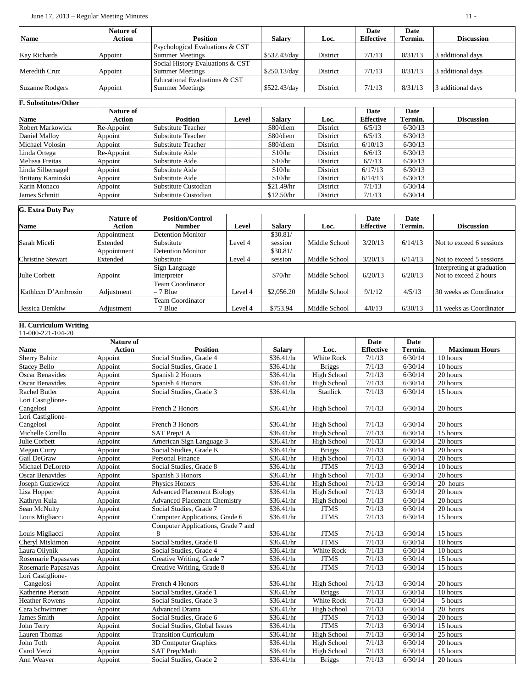|                 | Nature of |                                            |               |          | Date             | Date    |                   |
|-----------------|-----------|--------------------------------------------|---------------|----------|------------------|---------|-------------------|
| <b>Name</b>     | Action    | <b>Position</b>                            | <b>Salarv</b> | Loc.     | <b>Effective</b> | Termin. | <b>Discussion</b> |
|                 |           | <b>Psychological Evaluations &amp; CST</b> |               |          |                  |         |                   |
| Kav Richards    | Appoint   | <b>Summer Meetings</b>                     | \$532.43/day  | District | 7/1/13           | 8/31/13 | 3 additional days |
|                 |           | Social History Evaluations & CST           |               |          |                  |         |                   |
| Meredith Cruz   | Appoint   | <b>Summer Meetings</b>                     | \$250.13/day  | District | 7/1/13           | 8/31/13 | 3 additional days |
|                 |           | Educational Evaluations & CST              |               |          |                  |         |                   |
| Suzanne Rodgers | Appoint   | <b>Summer Meetings</b>                     | \$522.43/day  | District | 7/1/13           | 8/31/13 | 3 additional days |

#### **F. Substitutes/Other Name**<br>Robert Markowick **Nature of Action Position Level Salary Loc. Date Effective Date Discussion** Robert Markowick Re-Appoint Substitute Teacher \$80/diem District 6/5/13 6/30/13<br>Daniel Malloy Appoint Substitute Teacher \$80/diem District 6/5/13 6/30/13 Appoint Substitute Teacher Michael Volosin Appoint Substitute Teacher \$80/diem District 6/10/13 6/30/13<br>
Linda Ortega Re-Appoint Substitute Aide \$10/hr District 6/6/13 6/30/13 Linda Ortega Re-Appoint Substitute Aide | \$10/hr District | 6/6/13 Melissa Freitas Appoint Substitute Aide \$10/hr District 6/7/13 6/30/13<br>
Linda Silbernagel Appoint Substitute Aide \$10/hr District 6/17/13 6/30/13 Linda Silbernagel Appoint Substitute Aide | \$10/hr District 6/17/13 6/30/13 Brittany Kaminski Appoint Substitute Aide \$10/hr District 6/14/13 6/30/13<br>
Karin Monaco Appoint Substitute Custodian \$21.49/hr District 7/1/13 6/30/14 Karin Monaco Appoint Substitute Custodian \$21.49/hr District 7/1/13 6/30/14 Appoint Substitute Custodian

| <b>G. Extra Duty Pay</b> |             |                          |         |               |               |                  |         |                            |
|--------------------------|-------------|--------------------------|---------|---------------|---------------|------------------|---------|----------------------------|
|                          | Nature of   | <b>Position/Control</b>  |         |               |               | Date             | Date    |                            |
| <b>Name</b>              | Action      | <b>Number</b>            | Level   | <b>Salary</b> | Loc.          | <b>Effective</b> | Termin. | <b>Discussion</b>          |
|                          | Appointment | <b>Detention Monitor</b> |         | \$30.81/      |               |                  |         |                            |
| Sarah Miceli             | Extended    | Substitute               | Level 4 | session       | Middle School | 3/20/13          | 6/14/13 | Not to exceed 6 sessions   |
|                          | Appointment | <b>Detention Monitor</b> |         | \$30.81/      |               |                  |         |                            |
| <b>Christine Stewart</b> | Extended    | Substitute               | Level 4 | session       | Middle School | 3/20/13          | 6/14/13 | Not to exceed 5 sessions   |
|                          |             | Sign Language            |         |               |               |                  |         | Interpreting at graduation |
| Julie Corbett            | Appoint     | Interpreter              |         | \$70/hr       | Middle School | 6/20/13          | 6/20/13 | Not to exceed 2 hours      |
|                          |             | <b>Team Coordinator</b>  |         |               |               |                  |         |                            |
| Kathleen D'Ambrosio      | Adjustment  | $-7$ Blue                | Level 4 | \$2,056.20    | Middle School | 9/1/12           | 4/5/13  | 30 weeks as Coordinator    |
|                          |             | Team Coordinator         |         |               |               |                  |         |                            |
| Jessica Demkiw           | Adjustment  | $-7$ Blue                | Level 4 | \$753.94      | Middle School | 4/8/13           | 6/30/13 | 11 weeks as Coordinator    |

### **H. Curriculum Writing**

| 11-000-221-104-20      |               |                                     |                    |                    |                  |             |                      |
|------------------------|---------------|-------------------------------------|--------------------|--------------------|------------------|-------------|----------------------|
|                        | Nature of     |                                     |                    |                    | Date             | <b>Date</b> |                      |
| Name                   | <b>Action</b> | <b>Position</b>                     | <b>Salary</b>      | Loc.               | <b>Effective</b> | Termin.     | <b>Maximum Hours</b> |
| <b>Sherry Babitz</b>   | Appoint       | Social Studies, Grade 4             | $\sqrt{$36.41/hr}$ | <b>White Rock</b>  | 7/1/13           | 6/30/14     | 10 hours             |
| <b>Stacey Bello</b>    | Appoint       | Social Studies, Grade 1             | \$36.41/hr         | <b>Briggs</b>      | 7/1/13           | 6/30/14     | 10 hours             |
| <b>Oscar Benavides</b> | Appoint       | Spanish 2 Honors                    | \$36.41/hr         | High School        | 7/1/13           | 6/30/14     | 20 hours             |
| <b>Oscar Benavides</b> | Appoint       | Spanish 4 Honors                    | \$36.41/hr         | High School        | 7/1/13           | 6/30/14     | 20 hours             |
| <b>Rachel Butler</b>   | Appoint       | Social Studies, Grade 3             | \$36.41/hr         | Stanlick           | 7/1/13           | 6/30/14     | 15 hours             |
| Lori Castiglione-      |               |                                     |                    |                    |                  |             |                      |
| Cangelosi              | Appoint       | French 2 Honors                     | \$36.41/hr         | High School        | 7/1/13           | 6/30/14     | 20 hours             |
| Lori Castiglione-      |               |                                     |                    |                    |                  |             |                      |
| Cangelosi              | Appoint       | French 3 Honors                     | \$36.41/hr         | High School        | 7/1/13           | 6/30/14     | 20 hours             |
| Michelle Corallo       | Appoint       | <b>SAT Prep/LA</b>                  | \$36.41/hr         | High School        | 7/1/13           | 6/30/14     | 15 hours             |
| Julie Corbett          | Appoint       | American Sign Language 3            | \$36.41/hr         | High School        | 7/1/13           | 6/30/14     | 20 hours             |
| Megan Curry            | Appoint       | Social Studies, Grade K             | \$36.41/hr         | <b>Briggs</b>      | 7/1/13           | 6/30/14     | 20 hours             |
| Gail DeGraw            | Appoint       | <b>Personal Finance</b>             | \$36.41/hr         | <b>High School</b> | 7/1/13           | 6/30/14     | 20 hours             |
| Michael DeLoreto       | Appoint       | Social Studies, Grade 8             | \$36.41/hr         | <b>JTMS</b>        | 7/1/13           | 6/30/14     | 10 hours             |
| <b>Oscar Benavides</b> | Appoint       | Spanish 3 Honors                    | \$36.41/hr         | High School        | 7/1/13           | 6/30/14     | $20$ hours           |
| Joseph Guziewicz       | Appoint       | Physics Honors                      | \$36.41/hr         | High School        | 7/1/13           | 6/30/14     | 20 hours             |
| Lisa Hopper            | Appoint       | <b>Advanced Placement Biology</b>   | \$36.41/hr         | High School        | 7/1/13           | 6/30/14     | 20 hours             |
| Kathryn Kula           | Appoint       | <b>Advanced Placement Chemistry</b> | \$36.41/hr         | High School        | 7/1/13           | 6/30/14     | 20 hours             |
| Sean McNulty           | Appoint       | Social Studies, Grade 7             | \$36.41/hr         | <b>JTMS</b>        | 7/1/13           | 6/30/14     | 20 hours             |
| Louis Migliacci        | Appoint       | Computer Applications, Grade 6      | \$36.41/hr         | <b>JTMS</b>        | 7/1/13           | 6/30/14     | 15 hours             |
|                        |               | Computer Applications, Grade 7 and  |                    |                    |                  |             |                      |
| Louis Migliacci        | Appoint       | 8                                   | \$36.41/hr         | <b>JTMS</b>        | 7/1/13           | 6/30/14     | 15 hours             |
| Cheryl Miskimon        | Appoint       | Social Studies, Grade 8             | \$36.41/hr         | <b>JTMS</b>        | 7/1/13           | 6/30/14     | 10 hours             |
| Laura Olivnik          | Appoint       | Social Studies, Grade 4             | \$36.41/hr         | White Rock         | 7/1/13           | 6/30/14     | 10 hours             |
| Rosemarie Papasavas    | Appoint       | Creative Writing, Grade 7           | \$36.41/hr         | <b>JTMS</b>        | 7/1/13           | 6/30/14     | 15 hours             |
| Rosemarie Papasavas    | Appoint       | Creative Writing, Grade 8           | \$36.41/hr         | <b>JTMS</b>        | 7/1/13           | 6/30/14     | 15 hours             |
| Lori Castiglione-      |               |                                     |                    |                    |                  |             |                      |
| Cangelosi              | Appoint       | <b>French 4 Honors</b>              | \$36.41/hr         | High School        | 7/1/13           | 6/30/14     | 20 hours             |
| Katherine Pierson      | Appoint       | Social Studies, Grade 1             | \$36.41/hr         | <b>Briggs</b>      | 7/1/13           | 6/30/14     | 10 hours             |
| <b>Heather Rowens</b>  | Appoint       | Social Studies, Grade 3             | \$36.41/hr         | White Rock         | 7/1/13           | 6/30/14     | $5$ hours            |
| Cara Schwimmer         | Appoint       | <b>Advanced Drama</b>               | \$36.41/hr         | High School        | 7/1/13           | 6/30/14     | 20 hours             |
| James Smith            | Appoint       | Social Studies, Grade 6             | \$36.41/hr         | <b>JTMS</b>        | 7/1/13           | 6/30/14     | 20 hours             |
| John Terry             | Appoint       | Social Studies, Global Issues       | \$36.41/hr         | <b>JTMS</b>        | 7/1/13           | 6/30/14     | 15 hours             |
| Lauren Thomas          | Appoint       | <b>Transition Curriculum</b>        | \$36.41/hr         | <b>High School</b> | 7/1/13           | 6/30/14     | 25 hours             |
| John Toth              | Appoint       | <b>3D Computer Graphics</b>         | \$36.41/hr         | High School        | 7/1/13           | 6/30/14     | 20 hours             |
| Carol Verzi            | Appoint       | <b>SAT Prep/Math</b>                | \$36.41/hr         | High School        | 7/1/13           | 6/30/14     | 15 hours             |
| Ann Weaver             | Appoint       | Social Studies, Grade 2             | \$36.41/hr         | <b>Briggs</b>      | 7/1/13           | 6/30/14     | 20 hours             |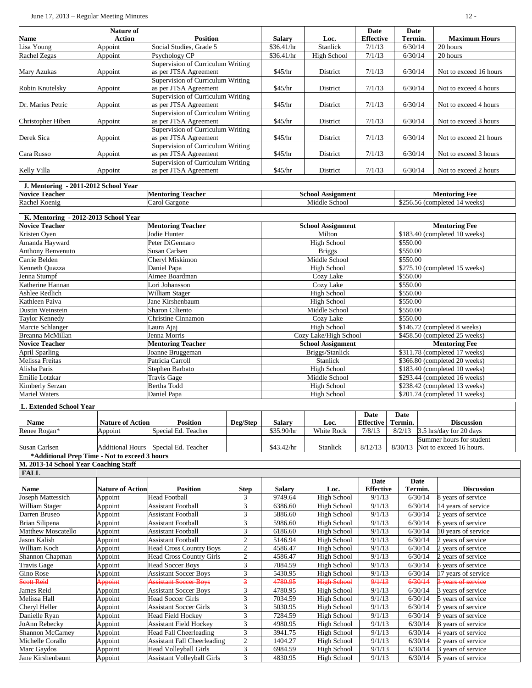|                                                               | June 17, 2013 - Regular Meeting Minutes       |                                                                   |                                                            |                       |                          |                          |                               | $12 -$                                              |  |
|---------------------------------------------------------------|-----------------------------------------------|-------------------------------------------------------------------|------------------------------------------------------------|-----------------------|--------------------------|--------------------------|-------------------------------|-----------------------------------------------------|--|
| Name                                                          | Nature of<br><b>Action</b>                    | <b>Position</b>                                                   |                                                            | <b>Salary</b>         | Loc.                     | Date<br><b>Effective</b> | Date<br>Termin.               | <b>Maximum Hours</b>                                |  |
| isa Young                                                     | Appoint                                       | Social Studies, Grade 5                                           |                                                            | \$36.41/hr            | Stanlick                 | 7/1/13                   | 6/30/14                       | 20 hours                                            |  |
| Rachel Zegas                                                  | Appoint                                       | Psychology CP                                                     |                                                            | \$36.41/hr            | <b>High School</b>       | 7/1/13                   | 6/30/14                       | 20 hours                                            |  |
| Mary Azukas                                                   | Appoint                                       | Supervision of Curriculum Writing<br>as per JTSA Agreement        |                                                            | \$45/hr               | District                 | 7/1/13                   | 6/30/14                       | Not to exceed 16 hours                              |  |
| Robin Knutelsky                                               | Appoint                                       | <b>Supervision of Curriculum Writing</b><br>as per JTSA Agreement |                                                            | \$45/hr               | District                 | 7/1/13                   | 6/30/14                       | Not to exceed 4 hours                               |  |
| Dr. Marius Petric                                             | Appoint                                       | Supervision of Curriculum Writing<br>as per JTSA Agreement        |                                                            | \$45/hr               | District                 | 7/1/13                   | 6/30/14                       | Not to exceed 4 hours                               |  |
| Christopher Hiben                                             |                                               | Supervision of Curriculum Writing<br>as per JTSA Agreement        |                                                            | \$45/hr               | District                 | 7/1/13                   | 6/30/14                       | Not to exceed 3 hours                               |  |
| Derek Sica                                                    | Appoint<br>Appoint                            |                                                                   | Supervision of Curriculum Writing<br>as per JTSA Agreement |                       | District                 | 7/1/13                   | 6/30/14                       | Not to exceed 21 hours                              |  |
| Cara Russo                                                    | Appoint                                       | Supervision of Curriculum Writing<br>as per JTSA Agreement        |                                                            | \$45/hr<br>\$45/hr    | District                 | 7/1/13                   | 6/30/14                       | Not to exceed 3 hours                               |  |
| Kelly Villa                                                   | Appoint                                       | Supervision of Curriculum Writing<br>as per JTSA Agreement        |                                                            | \$45/hr               | District                 | 7/1/13                   | 6/30/14                       | Not to exceed 2 hours                               |  |
|                                                               |                                               |                                                                   |                                                            |                       |                          |                          |                               |                                                     |  |
| J. Mentoring - 2011-2012 School Year<br><b>Novice Teacher</b> |                                               | <b>Mentoring Teacher</b>                                          |                                                            |                       | <b>School Assignment</b> |                          |                               | <b>Mentoring Fee</b>                                |  |
| Rachel Koenig                                                 |                                               | Carol Gargone                                                     |                                                            |                       | Middle School            |                          |                               | \$256.56 (completed 14 weeks)                       |  |
|                                                               |                                               |                                                                   |                                                            |                       |                          |                          |                               |                                                     |  |
| K. Mentoring - 2012-2013 School Year                          |                                               |                                                                   |                                                            |                       |                          |                          |                               |                                                     |  |
| <b>Novice Teacher</b>                                         |                                               | <b>Mentoring Teacher</b>                                          |                                                            |                       | <b>School Assignment</b> |                          |                               | <b>Mentoring Fee</b>                                |  |
| Kristen Oven                                                  |                                               | Jodie Hunter                                                      |                                                            |                       | Milton                   |                          |                               | \$183.40 (completed 10 weeks)                       |  |
| Amanda Hayward                                                |                                               | Peter DiGennaro                                                   |                                                            |                       | <b>High School</b>       |                          | \$550.00                      |                                                     |  |
| Anthony Benvenuto                                             |                                               | Susan Carlsen                                                     |                                                            |                       | <b>Briggs</b>            |                          | \$550.00                      |                                                     |  |
| Carrie Belden                                                 |                                               | Cheryl Miskimon                                                   |                                                            |                       | Middle School            |                          | \$550.00                      |                                                     |  |
| Kenneth Quazza                                                |                                               | Daniel Papa                                                       |                                                            |                       | <b>High School</b>       |                          |                               | \$275.10 (completed 15 weeks)                       |  |
| Jenna Stumpf                                                  |                                               | Aimee Boardman                                                    |                                                            |                       | Cozy Lake                |                          | \$550.00                      |                                                     |  |
| Katherine Hannan                                              |                                               | Lori Johansson                                                    |                                                            |                       | Cozy Lake                |                          | \$550.00                      |                                                     |  |
| Ashlee Redlich                                                |                                               | William Stager                                                    |                                                            |                       | <b>High School</b>       |                          | \$550.00                      |                                                     |  |
| Kathleen Paiva                                                |                                               | Jane Kirshenbaum                                                  |                                                            |                       | High School              |                          | \$550.00                      |                                                     |  |
| Dustin Weinstein                                              |                                               | Sharon Ciliento                                                   |                                                            |                       | Middle School            |                          | \$550.00                      |                                                     |  |
| Taylor Kennedy                                                |                                               | Christine Cinnamon                                                |                                                            |                       | Cozy Lake                |                          | \$550.00                      |                                                     |  |
| Marcie Schlanger                                              |                                               | Laura Ajaj                                                        |                                                            |                       | High School              |                          |                               | \$146.72 (completed 8 weeks)                        |  |
| Breanna McMillan                                              |                                               | Jenna Morris                                                      |                                                            | Cozy Lake/High School |                          |                          |                               | \$458.50 (completed 25 weeks)                       |  |
| <b>Novice Teacher</b>                                         |                                               | <b>Mentoring Teacher</b>                                          |                                                            |                       | <b>School Assignment</b> |                          |                               | <b>Mentoring Fee</b>                                |  |
| April Sparling                                                |                                               | Joanne Bruggeman                                                  |                                                            |                       | Briggs/Stanlick          |                          |                               | \$311.78 (completed 17 weeks)                       |  |
| Melissa Freitas                                               |                                               | Patricia Carroll                                                  |                                                            | Stanlick              |                          |                          |                               | \$366.80 (completed 20 weeks)                       |  |
| Alisha Paris                                                  |                                               | Stephen Barbato                                                   |                                                            | <b>High School</b>    |                          |                          |                               | \$183.40 (completed 10 weeks)                       |  |
| Emilie Lotzkar                                                |                                               | Travis Gage                                                       |                                                            | Middle School         |                          |                          |                               | \$293.44 (completed 16 weeks)                       |  |
| Kimberly Serzan                                               |                                               | Bertha Todd                                                       |                                                            | <b>High School</b>    |                          |                          | \$238.42 (completed 13 weeks) |                                                     |  |
| <b>Mariel Waters</b>                                          |                                               | Daniel Papa                                                       |                                                            |                       | <b>High School</b>       |                          | \$201.74 (completed 11 weeks) |                                                     |  |
| L. Extended School Year                                       |                                               |                                                                   |                                                            |                       |                          |                          |                               |                                                     |  |
| <b>Name</b>                                                   | <b>Nature of Action</b>                       | <b>Position</b>                                                   | Deg/Step                                                   | <b>Salary</b>         | Loc.                     | Date<br><b>Effective</b> | Date<br>Termin.               | <b>Discussion</b>                                   |  |
| Renee Rogan*                                                  | Appoint                                       | Special Ed. Teacher                                               |                                                            | \$35.90/hr            | White Rock               | 7/8/13                   | 8/2/13                        | 3.5 hrs/day for 20 days                             |  |
| Susan Carlsen                                                 | <b>Additional Hours</b>                       | Special Ed. Teacher                                               |                                                            | \$43.42/hr            | Stanlick                 | 8/12/13                  | 8/30/13                       | Summer hours for student<br>Not to exceed 16 hours. |  |
|                                                               | *Additional Prep Time - Not to exceed 3 hours |                                                                   |                                                            |                       |                          |                          |                               |                                                     |  |
| M. 2013-14 School Year Coaching Staff                         |                                               |                                                                   |                                                            |                       |                          |                          |                               |                                                     |  |
| <b>FALL</b>                                                   |                                               |                                                                   |                                                            |                       |                          |                          |                               |                                                     |  |
| <b>Name</b>                                                   | <b>Nature of Action</b>                       | <b>Position</b>                                                   | <b>Step</b>                                                | <b>Salary</b>         | Loc.                     | Date<br><b>Effective</b> | <b>Date</b><br>Termin.        | <b>Discussion</b>                                   |  |
| Joseph Mattessich                                             | Appoint                                       | <b>Head Football</b>                                              | 3                                                          | 9749.64               | <b>High School</b>       | 9/1/13                   | 6/30/14                       | 8 years of service                                  |  |
| William Stager                                                | Appoint                                       | <b>Assistant Football</b>                                         | 3                                                          | 6386.60               | High School              | 9/1/13                   | 6/30/14                       | 14 years of service                                 |  |
| Darren Bruseo                                                 | Appoint                                       | <b>Assistant Football</b>                                         | 3                                                          | 5886.60               | <b>High School</b>       | 9/1/13                   | 6/30/14                       | 2 years of service                                  |  |
| Brian Silipena                                                | Appoint                                       | <b>Assistant Football</b>                                         | 3                                                          | 5986.60               | <b>High School</b>       | 9/1/13                   | 6/30/14                       | 6 years of service                                  |  |
| Matthew Moscatello                                            | Appoint                                       | <b>Assistant Football</b>                                         | $\mathfrak{Z}$                                             | 6186.60               | <b>High School</b>       | 9/1/13                   | 6/30/14                       | 10 years of service                                 |  |
| Jason Kalish                                                  | Appoint                                       | <b>Assistant Football</b>                                         | $\sqrt{2}$                                                 | 5146.94               | <b>High School</b>       | 9/1/13                   | 6/30/14                       | 2 years of service                                  |  |
| William Koch                                                  | Appoint                                       | <b>Head Cross Country Boys</b>                                    | $\sqrt{2}$                                                 | 4586.47               | <b>High School</b>       | 9/1/13                   | 6/30/14                       | 2 years of service                                  |  |
| Shannon Chapman                                               | Appoint                                       | <b>Head Cross Country Girls</b>                                   | $\overline{2}$                                             | 4586.47               | <b>High School</b>       | 9/1/13                   | 6/30/14                       | 2 years of service                                  |  |
| Travis Gage                                                   | Appoint                                       | <b>Head Soccer Boys</b>                                           | $\mathfrak{Z}$                                             | 7084.59               | <b>High School</b>       | 9/1/13                   | 6/30/14                       | 6 years of service                                  |  |
| Gino Rose                                                     | Appoint                                       | <b>Assistant Soccer Boys</b>                                      | $\mathfrak 3$                                              | 5430.95               | <b>High School</b>       | 9/1/13                   | 6/30/14                       | 17 years of service                                 |  |
| eott Reid                                                     | Appoint                                       | Assistant Soccer Boys                                             | $\overline{\mathbf{3}}$                                    | 4780.95               | <b>High School</b>       | 9/1/13                   | 6/30/14                       | 3 years of service                                  |  |
| James Reid                                                    | Appoint                                       | <b>Assistant Soccer Boys</b>                                      | 3                                                          | 4780.95               | <b>High School</b>       | 9/1/13                   | 6/30/14                       | 3 years of service                                  |  |
| Melissa Hall                                                  | Appoint                                       | <b>Head Soccer Girls</b>                                          | 3                                                          | 7034.59               | <b>High School</b>       | 9/1/13                   | 6/30/14                       | 5 years of service                                  |  |
| Cheryl Heller                                                 | Appoint                                       | <b>Assistant Soccer Girls</b>                                     | 3                                                          | 5030.95               | High School              | 9/1/13                   | 6/30/14                       | years of service                                    |  |
| Danielle Ryan                                                 | Appoint                                       | <b>Head Field Hockey</b>                                          | $\mathfrak 3$                                              | 7284.59               | <b>High School</b>       | 9/1/13                   | 6/30/14                       | vears of service                                    |  |
| JoAnn Rebecky                                                 | Appoint                                       | Assistant Field Hockey                                            | 3                                                          | 4980.95               | <b>High School</b>       | 9/1/13                   | 6/30/14                       | 3 years of service                                  |  |

JoAnn Rebecky Appoint Assistant Field Hockey 3 4980.95 High School 9/1/13 6/30/14 8 years of service Shannon McCarney Appoint Head Fall Cheerleading 3 3941.75 High School 9/1/13 6/30/14 4 years of service<br>Michelle Corallo Appoint Assistant Fall Cheerleading 2 1404.27 High School 9/1/13 6/30/14 2 years of service Michelle Corallo Appoint Assistant Fall Cheerleading 2 1404.27 High School 9/1/13 6/30/14 2 years of service<br>Marc Gaydos Appoint Head Volleyball Girls 3 6984.59 High School 9/1/13 6/30/14 3 years of service

Jane Kirshenbaum Appoint Assistant Volleyball Girls 3 4830.95 High School 9/1/13 6/30/14 5 years of service

Appoint Head Volleyball Girls 3 6984.59 High School 4<br>Appoint Assistant Volleyball Girls 3 4830.95 High School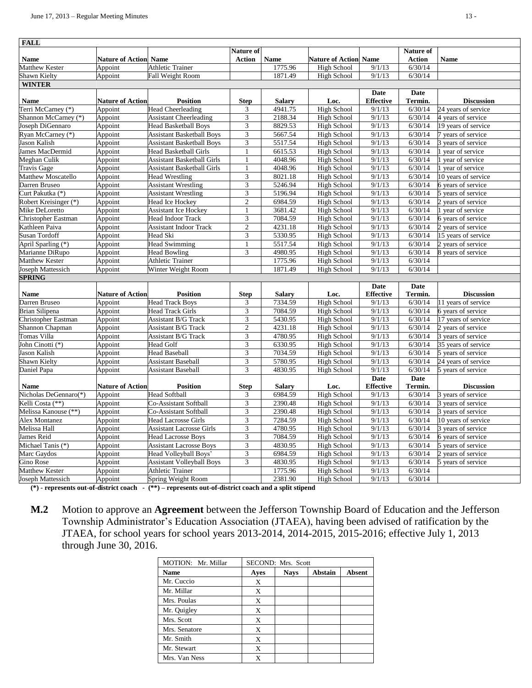| <b>FALL</b>                              |                              |                                                                 |                              |                          |                                          |                          |                        |                     |
|------------------------------------------|------------------------------|-----------------------------------------------------------------|------------------------------|--------------------------|------------------------------------------|--------------------------|------------------------|---------------------|
|                                          |                              |                                                                 | Nature of                    |                          |                                          |                          | Nature of              |                     |
| <b>Name</b>                              | <b>Nature of Action Name</b> |                                                                 | <b>Action</b>                | <b>Name</b>              | <b>Nature of Action Name</b>             |                          | <b>Action</b>          | <b>Name</b>         |
| Matthew Kester                           | Appoint                      | <b>Athletic Trainer</b>                                         |                              | 1775.96                  | High School                              | 9/1/13                   | 6/30/14                |                     |
| Shawn Kielty                             | Appoint                      | Fall Weight Room                                                |                              | 1871.49                  | <b>High School</b>                       | 9/1/13                   | 6/30/14                |                     |
| <b>WINTER</b>                            |                              |                                                                 |                              |                          |                                          |                          |                        |                     |
|                                          |                              |                                                                 |                              |                          |                                          | Date                     | <b>Date</b>            |                     |
| Name                                     | <b>Nature of Action</b>      | <b>Position</b>                                                 | <b>Step</b>                  | <b>Salary</b><br>4941.75 | Loc.                                     | <b>Effective</b>         | Termin.<br>6/30/14     | <b>Discussion</b>   |
| Terri McCarney (*)                       | Appoint                      | <b>Head Cheerleading</b>                                        | 3<br>3                       |                          | High School                              | 9/1/13                   |                        | 24 years of service |
| Shannon McCarney (*)<br>Joseph DiGennaro | Appoint                      | <b>Assistant Cheerleading</b>                                   |                              | 2188.34<br>8829.53       | High School                              | 9/1/13<br>9/1/13         | 6/30/14                | 4 years of service  |
|                                          | Appoint                      | <b>Head Basketball Boys</b><br><b>Assistant Basketball Boys</b> | $\overline{\mathbf{3}}$      |                          | High School                              | 9/1/13                   | 6/30/14<br>6/30/14     | 19 years of service |
| Ryan McCarney (*)                        | Appoint                      |                                                                 | $\mathfrak{Z}$               | 5667.54                  | <b>High School</b>                       | 9/1/13                   |                        | 7 years of service  |
| Jason Kalish<br>James MacDermid          | Appoint                      | <b>Assistant Basketball Boys</b>                                | 3                            | 5517.54<br>6615.53       | <b>High School</b><br><b>High School</b> | 9/1/13                   | 6/30/14                | 3 years of service  |
|                                          | Appoint                      | <b>Head Basketball Girls</b>                                    | $\mathbf{1}$                 | 4048.96                  | <b>High School</b>                       | 9/1/13                   | 6/30/14<br>6/30/14     | 1 year of service   |
| Meghan Culik                             | Appoint                      | <b>Assistant Basketball Girls</b>                               |                              | 4048.96                  |                                          |                          |                        | 1 year of service   |
| <b>Travis Gage</b>                       | Appoint                      | <b>Assistant Basketball Girls</b>                               | 1                            | 8021.18                  | <b>High School</b>                       | 9/1/13<br>9/1/13         | 6/30/14                | 1 year of service   |
| Matthew Moscatello                       | Appoint                      | <b>Head Wrestling</b>                                           | $\mathfrak{Z}$               |                          | <b>High School</b>                       |                          | 6/30/14                | 10 years of service |
| Darren Bruseo                            | Appoint                      | <b>Assistant Wrestling</b>                                      | 3<br>$\overline{\mathbf{3}}$ | 5246.94                  | <b>High School</b>                       | 9/1/13                   | 6/30/14                | 6 years of service  |
| Curt Pakutka (*)                         | Appoint                      | <b>Assistant Wrestling</b>                                      |                              | 5196.94                  | <b>High School</b>                       | 9/1/13                   | 6/30/14                | 5 years of service  |
| Robert Kreisinger (*)                    | Appoint                      | Head Ice Hockey                                                 | $\mathfrak{2}$               | 6984.59                  | High School                              | 9/1/13                   | 6/30/14                | 2 years of service  |
| Mike DeLoretto                           | Appoint                      | <b>Assistant Ice Hockey</b>                                     | $\mathbf{1}$                 | 3681.42                  | <b>High School</b>                       | 9/1/13                   | 6/30/14                | 1 year of service   |
| Christopher Eastman                      | Appoint                      | Head Indoor Track                                               | $\overline{3}$               | 7084.59                  | <b>High School</b>                       | 9/1/13                   | 6/30/14                | 6 years of service  |
| Kathleen Paiva                           | Appoint                      | <b>Assistant Indoor Track</b>                                   | $\mathfrak{2}$               | 4231.18                  | <b>High School</b>                       | 9/1/13                   | 6/30/14                | 2 years of service  |
| <b>Susan Tordoff</b>                     | Appoint                      | Head Ski                                                        | $\overline{3}$               | 5330.95                  | High School                              | 9/1/13                   | 6/30/14                | 15 years of service |
| April Sparling (*)                       | Appoint                      | <b>Head Swimming</b>                                            | $\mathbf{1}$                 | 5517.54                  | <b>High School</b>                       | 9/1/13                   | 6/30/14                | 2 years of service  |
| Marianne DiRupo                          | Appoint                      | <b>Head Bowling</b>                                             | 3                            | 4980.95                  | High School                              | 9/1/13                   | 6/30/14                | 8 years of service  |
| Matthew Kester                           | Appoint                      | <b>Athletic Trainer</b>                                         |                              | 1775.96                  | High School                              | 9/1/13                   | 6/30/14                |                     |
| Joseph Mattessich                        | Appoint                      | Winter Weight Room                                              |                              | 1871.49                  | <b>High School</b>                       | 9/1/13                   | 6/30/14                |                     |
| <b>SPRING</b>                            |                              |                                                                 |                              |                          |                                          |                          |                        |                     |
| <b>Name</b>                              | <b>Nature of Action</b>      | <b>Position</b>                                                 | <b>Step</b>                  | <b>Salary</b>            | Loc.                                     | Date<br><b>Effective</b> | <b>Date</b><br>Termin. | <b>Discussion</b>   |
| Darren Bruseo                            | Appoint                      | <b>Head Track Boys</b>                                          | 3                            | 7334.59                  | <b>High School</b>                       | 9/1/13                   | 6/30/14                | 11 years of service |
| Brian Silipena                           | Appoint                      | <b>Head Track Girls</b>                                         | 3                            | 7084.59                  | <b>High School</b>                       | 9/1/13                   | 6/30/14                | 6 years of service  |
| Christopher Eastman                      | Appoint                      | <b>Assistant B/G Track</b>                                      | $\overline{\mathbf{3}}$      | 5430.95                  | High School                              | 9/1/13                   | 6/30/14                | 17 years of service |
| Shannon Chapman                          | Appoint                      | Assistant B/G Track                                             | $\mathfrak{2}$               | 4231.18                  | <b>High School</b>                       | 9/1/13                   | 6/30/14                | 2 years of service  |
| Tomas Villa                              | Appoint                      | <b>Assistant B/G Track</b>                                      | $\ensuremath{\mathfrak{Z}}$  | 4780.95                  | High School                              | 9/1/13                   | 6/30/14                | 3 years of service  |
| John Cinotti (*)                         | Appoint                      | <b>Head Golf</b>                                                | $\overline{3}$               | 6330.95                  | High School                              | 9/1/13                   | 6/30/14                | 35 years of service |
| Jason Kalish                             | Appoint                      | <b>Head Baseball</b>                                            | $\overline{\mathbf{3}}$      | 7034.59                  | <b>High School</b>                       | 9/1/13                   | 6/30/14                | 5 years of service  |
| Shawn Kielty                             | Appoint                      | <b>Assistant Baseball</b>                                       | 3                            | 5780.95                  | <b>High School</b>                       | $\frac{9}{1/13}$         | 6/30/14                | 24 years of service |
| Daniel Papa                              | Appoint                      | <b>Assistant Baseball</b>                                       | 3                            | 4830.95                  | <b>High School</b>                       | 9/1/13                   | 6/30/14                | 5 years of service  |
|                                          |                              |                                                                 |                              |                          |                                          | Date                     | <b>Date</b>            |                     |
| <b>Name</b>                              | <b>Nature of Action</b>      | <b>Position</b>                                                 | <b>Step</b>                  | <b>Salary</b>            | Loc.                                     | <b>Effective</b>         | Termin.                | <b>Discussion</b>   |
| Nicholas DeGennaro(*)                    | Appoint                      | <b>Head Softball</b>                                            | 3                            | 6984.59                  | <b>High School</b>                       | 9/1/13                   | 6/30/14                | 3 years of service  |
| Kelli Costa (**)                         | Appoint                      | Co-Assistant Softball                                           | $\mathfrak{Z}$               | 2390.48                  | High School                              | 9/1/13                   | 6/30/14                | 3 years of service  |
| Melissa Kanouse (**)                     | Appoint                      | Co-Assistant Softball                                           | 3                            | 2390.48                  | <b>High School</b>                       | 9/1/13                   | 6/30/14                | 3 years of service  |
| <b>Alex Montanez</b>                     | Appoint                      | <b>Head Lacrosse Girls</b>                                      | $\overline{\mathbf{3}}$      | 7284.59                  | High School                              | 9/1/13                   | 6/30/14                | 10 years of service |
| Melissa Hall                             | Appoint                      | <b>Assistant Lacrosse Girls</b>                                 | $\overline{3}$               | 4780.95                  | High School                              | 9/1/13                   | 6/30/14                | 3 years of service  |
| James Reid                               | Appoint                      | <b>Head Lacrosse Boys</b>                                       | $\overline{\mathbf{3}}$      | 7084.59                  | <b>High School</b>                       | 9/1/13                   | 6/30/14                | 6 years of service  |
| Michael Tanis (*)                        | Appoint                      | <b>Assistant Lacrosse Boys</b>                                  | $\overline{\mathbf{3}}$      | 4830.95                  | <b>High School</b>                       | 9/1/13                   | 6/30/14                | 5 years of service  |
| Marc Gaydos                              | Appoint                      | Head Volleyball Boys'                                           | 3                            | 6984.59                  | <b>High School</b>                       | 9/1/13                   | 6/30/14                | 2 years of service  |
| Gino Rose                                | Appoint                      | <b>Assistant Volleyball Boys</b>                                | 3                            | 4830.95                  | High School                              | 9/1/13                   | 6/30/14                | 5 years of service  |
| Matthew Kester                           | Appoint                      | <b>Athletic Trainer</b>                                         |                              | 1775.96                  | <b>High School</b>                       | 9/1/13                   | 6/30/14                |                     |
| Joseph Mattessich                        | Appoint                      | Spring Weight Room                                              |                              | 2381.90                  | High School                              | 9/1/13                   | 6/30/14                |                     |
|                                          |                              |                                                                 |                              |                          |                                          |                          |                        |                     |

**(\*) - represents out-of-district coach - (\*\*) – represents out-of-district coach and a split stipend**

**M.2** Motion to approve an **Agreement** between the Jefferson Township Board of Education and the Jefferson Township Administrator's Education Association (JTAEA), having been advised of ratification by the JTAEA, for school years for school years 2013-2014, 2014-2015, 2015-2016; effective July 1, 2013 through June 30, 2016.

| MOTION: Mr. Millar |      | SECOND: Mrs. Scott |                |               |
|--------------------|------|--------------------|----------------|---------------|
| <b>Name</b>        | Ayes | <b>Nays</b>        | <b>Abstain</b> | <b>Absent</b> |
| Mr. Cuccio         | X    |                    |                |               |
| Mr. Millar         | X    |                    |                |               |
| Mrs. Poulas        | X    |                    |                |               |
| Mr. Quigley        | X    |                    |                |               |
| Mrs. Scott         | X    |                    |                |               |
| Mrs. Senatore      | X    |                    |                |               |
| Mr. Smith          | X    |                    |                |               |
| Mr. Stewart        | X    |                    |                |               |
| Mrs. Van Ness      | X    |                    |                |               |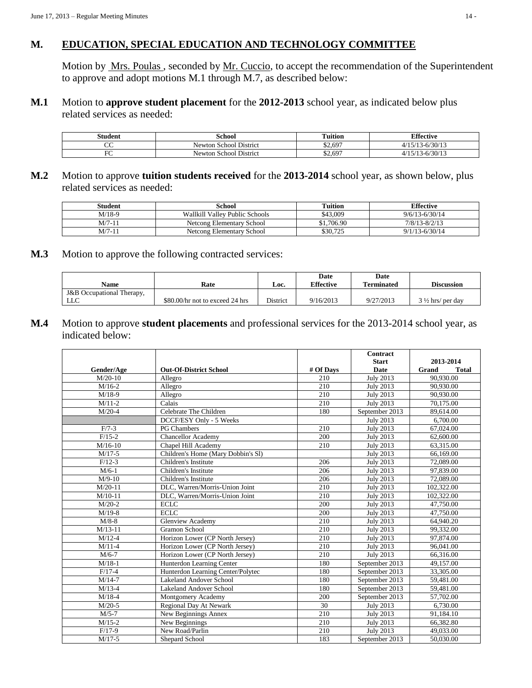### **M. EDUCATION, SPECIAL EDUCATION AND TECHNOLOGY COMMITTEE**

Motion by Mrs. Poulas, seconded by Mr. Cuccio, to accept the recommendation of the Superintendent to approve and adopt motions M.1 through M.7, as described below:

**M.1** Motion to **approve student placement** for the **2012-2013** school year, as indicated below plus related services as needed:

| student     | School                                       | m<br>$\cdot \cdot$<br>l'uition | <b>Effective</b>              |
|-------------|----------------------------------------------|--------------------------------|-------------------------------|
| $\sim$<br>Č | $\sim$<br>. .<br>. School District<br>Newton | \$2,697                        | (20112)<br>'30/13<br>$\Omega$ |
| гc<br>╰     | . School District<br>Newfon                  | \$2,697                        | /30/13<br>$\sim$              |

**M.2** Motion to approve **tuition students received** for the **2013-2014** school year, as shown below, plus related services as needed:

| Student  | School                         | Tuition    | <b>Effective</b>   |
|----------|--------------------------------|------------|--------------------|
| M/18-9   | Wallkill Valley Public Schools | \$43,009   | $9/6/13 - 6/30/14$ |
| M/7-11   | Netcong Elementary School      | \$1,706.90 | $7/8/13 - 8/2/13$  |
| $M/7-11$ | Netcong Elementary School      | \$30,725   | $9/1/13 - 6/30/14$ |

### **M.3** Motion to approve the following contracted services:

| Name                      | Rate                            | Loc.     | Date<br><b>Effective</b> | Date<br><b>Terminated</b> | <b>Discussion</b>           |  |
|---------------------------|---------------------------------|----------|--------------------------|---------------------------|-----------------------------|--|
| J&B Occupational Therapy, |                                 |          |                          |                           |                             |  |
| LLC                       | \$80.00/hr not to exceed 24 hrs | District | 9/16/2013                | 9/27/2013                 | $3\frac{1}{2}$ hrs/ per day |  |

**M.4** Motion to approve **student placements** and professional services for the 2013-2014 school year, as indicated below:

|            |                                    |           | Contract         |                       |  |  |
|------------|------------------------------------|-----------|------------------|-----------------------|--|--|
|            |                                    |           | <b>Start</b>     | 2013-2014             |  |  |
| Gender/Age | <b>Out-Of-District School</b>      | # Of Days | <b>Date</b>      | Grand<br><b>Total</b> |  |  |
| $M/20-10$  | Allegro                            | 210       | <b>July 2013</b> | 90,930.00             |  |  |
| $M/16-2$   | Allegro                            | 210       | <b>July 2013</b> | 90,930.00             |  |  |
| $M/18-9$   | Allegro                            | 210       | <b>July 2013</b> | 90,930.00             |  |  |
| $M/11-2$   | Calais                             | 210       | <b>July 2013</b> | 70,175.00             |  |  |
| $M/20-4$   | Celebrate The Children             | 180       | September 2013   | 89,614.00             |  |  |
|            | DCCF/ESY Only - 5 Weeks            |           | <b>July 2013</b> | 6,700.00              |  |  |
| $F/7-3$    | PG Chambers                        | 210       | <b>July 2013</b> | 67,024.00             |  |  |
| $F/15-2$   | <b>Chancellor Academy</b>          | 200       | July 2013        | 62,600.00             |  |  |
| $M/16-10$  | Chapel Hill Academy                | 210       | <b>July 2013</b> | 63,315.00             |  |  |
| $M/17-5$   | Children's Home (Mary Dobbin's SI) |           | <b>July 2013</b> | 66,169.00             |  |  |
| $F/12-3$   | Children's Institute               | 206       | <b>July 2013</b> | 72,089.00             |  |  |
| $M/6-1$    | Children's Institute               | 206       | <b>July 2013</b> | 97,839.00             |  |  |
| $M/9-10$   | Children's Institute               | 206       | <b>July 2013</b> | 72,089.00             |  |  |
| $M/20-11$  | DLC, Warren/Morris-Union Joint     | 210       | <b>July 2013</b> | 102,322.00            |  |  |
| $M/10-11$  | DLC, Warren/Morris-Union Joint     | 210       | <b>July 2013</b> | 102,322.00            |  |  |
| $M/20-2$   | <b>ECLC</b>                        | 200       | <b>July 2013</b> | 47,750.00             |  |  |
| $M/19-8$   | <b>ECLC</b>                        | 200       | <b>July 2013</b> | 47,750.00             |  |  |
| $M/8-8$    | <b>Glenview Academy</b>            | 210       | <b>July 2013</b> | 64,940.20             |  |  |
| $M/13-11$  | Gramon School                      | 210       | <b>July 2013</b> | 99,332.00             |  |  |
| $M/12-4$   | Horizon Lower (CP North Jersey)    | 210       | <b>July 2013</b> | 97,874.00             |  |  |
| $M/11-4$   | Horizon Lower (CP North Jersey)    | 210       | <b>July 2013</b> | 96,041.00             |  |  |
| $M/6-7$    | Horizon Lower (CP North Jersey)    | 210       | <b>July 2013</b> | 66,316.00             |  |  |
| $M/18-1$   | Hunterdon Learning Center          | 180       | September 2013   | 49,157.00             |  |  |
| $F/17-4$   | Hunterdon Learning Center/Polytec  | 180       | September 2013   | 33,305.00             |  |  |
| $M/14-7$   | Lakeland Andover School            | 180       | September 2013   | 59,481.00             |  |  |
| $M/13-4$   | Lakeland Andover School            | 180       | September 2013   | 59,481.00             |  |  |
| $M/18-4$   | Montgomery Academy                 | 200       | September 2013   | 57,702.00             |  |  |
| $M/20-5$   | Regional Day At Newark             | 30        | <b>July 2013</b> | 6,730.00              |  |  |
| $M/5-7$    | New Beginnings Annex               | 210       | <b>July 2013</b> | 91,184.10             |  |  |
| $M/15-2$   | New Beginnings                     | 210       | <b>July 2013</b> | 66,382.80             |  |  |
| $F/17-9$   | New Road/Parlin                    | 210       | <b>July 2013</b> | 49,033.00             |  |  |
| $M/17-5$   | Shepard School                     | 183       | September 2013   | 50,030.00             |  |  |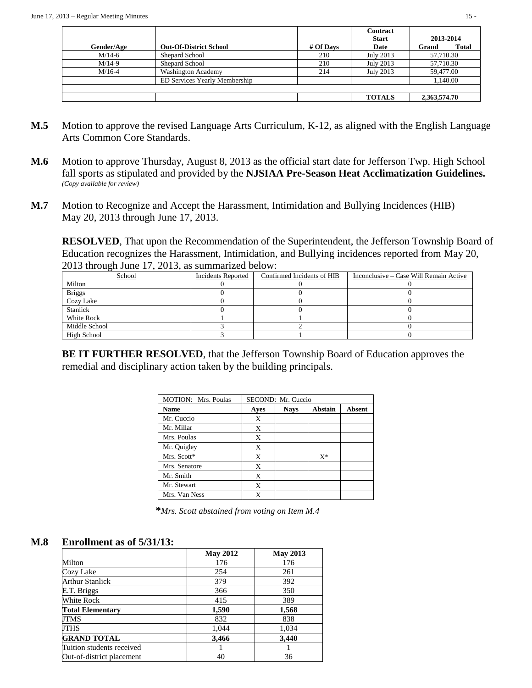|            |                               |           | <b>Contract</b> |                       |  |
|------------|-------------------------------|-----------|-----------------|-----------------------|--|
|            |                               |           | <b>Start</b>    | 2013-2014             |  |
| Gender/Age | <b>Out-Of-District School</b> | # Of Davs | Date            | <b>Total</b><br>Grand |  |
| $M/14-6$   | Shepard School                | 210       | July 2013       | 57,710.30             |  |
| $M/14-9$   | Shepard School                | 210       | July 2013       | 57,710.30             |  |
| $M/16-4$   | <b>Washington Academy</b>     | 214       | July 2013       | 59,477.00             |  |
|            | ED Services Yearly Membership |           |                 | 1.140.00              |  |
|            |                               |           |                 |                       |  |
|            |                               |           | <b>TOTALS</b>   | 2,363,574.70          |  |

- **M.5** Motion to approve the revised Language Arts Curriculum, K-12, as aligned with the English Language Arts Common Core Standards.
- **M.6** Motion to approve Thursday, August 8, 2013 as the official start date for Jefferson Twp. High School fall sports as stipulated and provided by the **NJSIAA Pre-Season Heat Acclimatization Guidelines.**  *(Copy available for review)*
- **M.7** Motion to Recognize and Accept the Harassment, Intimidation and Bullying Incidences (HIB) May 20, 2013 through June 17, 2013.

**RESOLVED**, That upon the Recommendation of the Superintendent, the Jefferson Township Board of Education recognizes the Harassment, Intimidation, and Bullying incidences reported from May 20, 2013 through June 17, 2013, as summarized below:

| School          | Incidents Reported | Confirmed Incidents of HIB | Inconclusive – Case Will Remain Active |  |  |  |
|-----------------|--------------------|----------------------------|----------------------------------------|--|--|--|
| Milton          |                    |                            |                                        |  |  |  |
| <b>Briggs</b>   |                    |                            |                                        |  |  |  |
| Cozy Lake       |                    |                            |                                        |  |  |  |
| <b>Stanlick</b> |                    |                            |                                        |  |  |  |
| White Rock      |                    |                            |                                        |  |  |  |
| Middle School   |                    |                            |                                        |  |  |  |
| High School     |                    |                            |                                        |  |  |  |

**BE IT FURTHER RESOLVED**, that the Jefferson Township Board of Education approves the remedial and disciplinary action taken by the building principals.

| MOTION: Mrs. Poulas | SECOND: Mr. Cuccio |             |                |        |  |  |
|---------------------|--------------------|-------------|----------------|--------|--|--|
| <b>Name</b>         | Ayes               | <b>Nays</b> | <b>Abstain</b> | Absent |  |  |
| Mr. Cuccio          | X                  |             |                |        |  |  |
| Mr. Millar          | X                  |             |                |        |  |  |
| Mrs. Poulas         | X                  |             |                |        |  |  |
| Mr. Quigley         | X                  |             |                |        |  |  |
| Mrs. Scott*         | X                  |             | $X^*$          |        |  |  |
| Mrs. Senatore       | X                  |             |                |        |  |  |
| Mr. Smith           | X                  |             |                |        |  |  |
| Mr. Stewart         | X                  |             |                |        |  |  |
| Mrs. Van Ness       |                    |             |                |        |  |  |

**\****Mrs. Scott abstained from voting on Item M.4*

### **M.8 Enrollment as of 5/31/13:**

|                           | <b>May 2012</b> | <b>May 2013</b> |  |  |
|---------------------------|-----------------|-----------------|--|--|
| Milton                    | 176             | 176             |  |  |
| Cozy Lake                 | 254             | 261             |  |  |
| <b>Arthur Stanlick</b>    | 379             | 392             |  |  |
| E.T. Briggs               | 366             | 350             |  |  |
| White Rock                | 415             | 389             |  |  |
| <b>Total Elementary</b>   | 1,590           | 1,568           |  |  |
| JTMS                      | 832             | 838             |  |  |
| <b>JTHS</b>               | 1,044           | 1,034           |  |  |
| <b>GRAND TOTAL</b>        | 3,466           | 3,440           |  |  |
| Tuition students received |                 |                 |  |  |
| Out-of-district placement | 40              | 36              |  |  |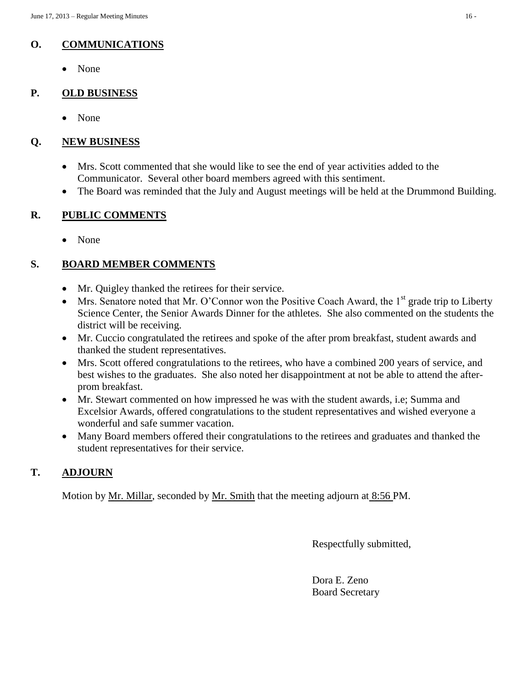## **O. COMMUNICATIONS**

None

## **P. OLD BUSINESS**

• None

## **Q. NEW BUSINESS**

- Mrs. Scott commented that she would like to see the end of year activities added to the Communicator. Several other board members agreed with this sentiment.
- The Board was reminded that the July and August meetings will be held at the Drummond Building.

### **R. PUBLIC COMMENTS**

• None

## **S. BOARD MEMBER COMMENTS**

- Mr. Quigley thanked the retirees for their service.
- Mrs. Senatore noted that Mr. O'Connor won the Positive Coach Award, the  $1<sup>st</sup>$  grade trip to Liberty Science Center, the Senior Awards Dinner for the athletes. She also commented on the students the district will be receiving.
- Mr. Cuccio congratulated the retirees and spoke of the after prom breakfast, student awards and thanked the student representatives.
- Mrs. Scott offered congratulations to the retirees, who have a combined 200 years of service, and best wishes to the graduates. She also noted her disappointment at not be able to attend the afterprom breakfast.
- Mr. Stewart commented on how impressed he was with the student awards, i.e; Summa and Excelsior Awards, offered congratulations to the student representatives and wished everyone a wonderful and safe summer vacation.
- Many Board members offered their congratulations to the retirees and graduates and thanked the student representatives for their service.

## **T. ADJOURN**

Motion by <u>Mr. Millar</u>, seconded by <u>Mr. Smith</u> that the meeting adjourn at 8:56 PM.

Respectfully submitted,

Dora E. Zeno Board Secretary